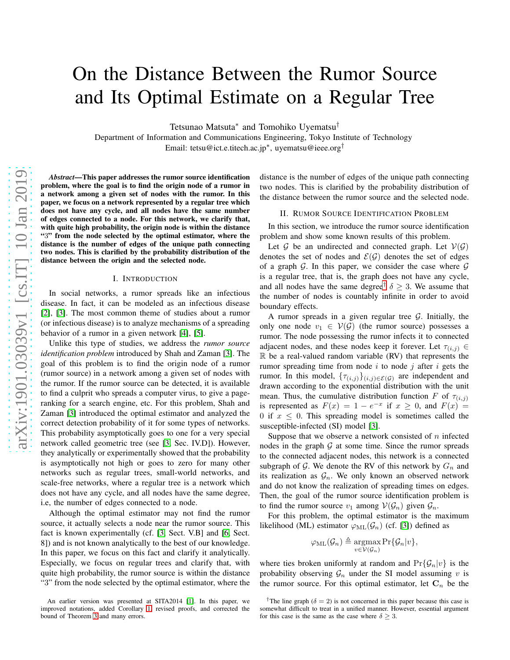# On the Distance Between the Rumor Source and Its Optimal Estimate on a Regular Tree

Tetsunao Matsuta<sup>∗</sup> and Tomohiko Uyematsu†

Department of Information and Communications Engineering, Tokyo Institute of Technology Email: tetsu@ict.e.titech.ac.jp<sup>∗</sup> , uyematsu@ieee.org†

*Abstract*—This paper addresses the rumor source identification problem, where the goal is to find the origin node of a rumor in a network among a given set of nodes with the rumor. In this paper, we focus on a network represented by a regular tree which does not have any cycle, and all nodes have the same number of edges connected to a node. For this network, we clarify that, with quite high probability, the origin node is within the distance "3" from the node selected by the optimal estimator, where the distance is the number of edges of the unique path connecting two nodes. This is clarified by the probability distribution of the distance between the origin and the selected node.

#### I. INTRODUCTION

In social networks, a rumor spreads like an infectious disease. In fact, it can be modeled as an infectious disease [\[2\]](#page-13-0), [\[3\]](#page-13-1). The most common theme of studies about a rumor (or infectious disease) is to analyze mechanisms of a spreading behavior of a rumor in a given network [\[4\]](#page-13-2), [\[5\]](#page-13-3).

Unlike this type of studies, we address the *rumor source identification problem* introduced by Shah and Zaman [\[3\]](#page-13-1). The goal of this problem is to find the origin node of a rumor (rumor source) in a network among a given set of nodes with the rumor. If the rumor source can be detected, it is available to find a culprit who spreads a computer virus, to give a pageranking for a search engine, etc. For this problem, Shah and Zaman [\[3\]](#page-13-1) introduced the optimal estimator and analyzed the correct detection probability of it for some types of networks. This probability asymptotically goes to one for a very special network called geometric tree (see [\[3,](#page-13-1) Sec. IV.D]). However, they analytically or experimentally showed that the probability is asymptotically not high or goes to zero for many other networks such as regular trees, small-world networks, and scale-free networks, where a regular tree is a network which does not have any cycle, and all nodes have the same degree, i.e, the number of edges connected to a node.

Although the optimal estimator may not find the rumor source, it actually selects a node near the rumor source. This fact is known experimentally (cf. [\[3,](#page-13-1) Sect. V.B] and [\[6,](#page-13-4) Sect. 8]) and is not known analytically to the best of our knowledge. In this paper, we focus on this fact and clarify it analytically. Especially, we focus on regular trees and clarify that, with quite high probability, the rumor source is within the distance "3" from the node selected by the optimal estimator, where the distance is the number of edges of the unique path connecting two nodes. This is clarified by the probability distribution of the distance between the rumor source and the selected node.

#### II. RUMOR SOURCE IDENTIFICATION PROBLEM

In this section, we introduce the rumor source identification problem and show some known results of this problem.

Let  $G$  be an undirected and connected graph. Let  $V(G)$ denotes the set of nodes and  $\mathcal{E}(\mathcal{G})$  denotes the set of edges of a graph  $G$ . In this paper, we consider the case where  $G$ is a regular tree, that is, the graph does not have any cycle, and all nodes have the same degree  $\delta \geq 3$ . We assume that the number of nodes is countably infinite in order to avoid boundary effects.

A rumor spreads in a given regular tree  $G$ . Initially, the only one node  $v_1 \in V(G)$  (the rumor source) possesses a rumor. The node possessing the rumor infects it to connected adjacent nodes, and these nodes keep it forever. Let  $\tau_{(i,j)} \in$  $\mathbb R$  be a real-valued random variable (RV) that represents the rumor spreading time from node  $i$  to node  $j$  after  $i$  gets the rumor. In this model,  $\{\tau(i,j)\}_{(i,j)\in\mathcal{E}(\mathcal{G})}$  are independent and drawn according to the exponential distribution with the unit mean. Thus, the cumulative distribution function F of  $\tau_{(i,j)}$ is represented as  $F(x) = 1 - e^{-x}$  if  $x \ge 0$ , and  $F(x) =$ 0 if  $x \leq 0$ . This spreading model is sometimes called the susceptible-infected (SI) model [\[3\]](#page-13-1).

Suppose that we observe a network consisted of  $n$  infected nodes in the graph  $G$  at some time. Since the rumor spreads to the connected adjacent nodes, this network is a connected subgraph of G. We denote the RV of this network by  $G_n$  and its realization as  $\mathcal{G}_n$ . We only known an observed network and do not know the realization of spreading times on edges. Then, the goal of the rumor source identification problem is to find the rumor source  $v_1$  among  $V(\mathcal{G}_n)$  given  $\mathcal{G}_n$ .

For this problem, the optimal estimator is the maximum likelihood (ML) estimator  $\varphi_{ML}(\mathcal{G}_n)$  (cf. [\[3\]](#page-13-1)) defined as

$$
\varphi_{\text{ML}}(\mathcal{G}_n) \triangleq \operatorname*{argmax}_{v \in \mathcal{V}(\mathcal{G}_n)} \Pr{\mathcal{G}_n | v},
$$

where ties broken uniformly at random and  $Pr{\mathcal{G}_n|v}$  is the probability observing  $\mathcal{G}_n$  under the SI model assuming v is the rumor source. For this optimal estimator, let  $C_n$  be the

An earlier version was presented at SITA2014 [\[1\]](#page-13-5). In this paper, we improved notations, added Corollary [1,](#page-1-0) revised proofs, and corrected the bound of Theorem [3](#page-1-1) and many errors.

<span id="page-0-0"></span><sup>&</sup>lt;sup>†</sup>The line graph ( $\delta = 2$ ) is not concerned in this paper because this case is somewhat difficult to treat in a unified manner. However, essential argument for this case is the same as the case where  $\delta \geq 3$ .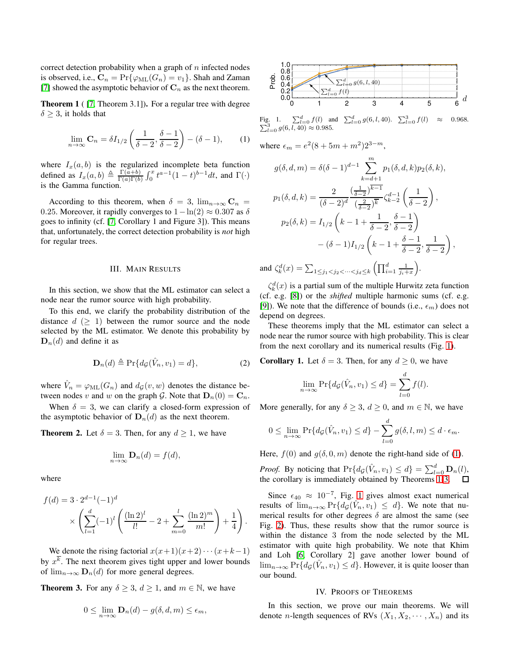correct detection probability when a graph of  $n$  infected nodes is observed, i.e.,  $\mathbf{C}_n = \Pr\{\varphi_{\text{ML}}(G_n) = v_1\}$ . Shah and Zaman [\[7\]](#page-13-6) showed the asymptotic behavior of  $\mathbf{C}_n$  as the next theorem.

<span id="page-1-4"></span>Theorem 1 ( [\[7,](#page-13-6) Theorem 3.1]). For a regular tree with degree  $\delta \geq 3$ , it holds that

$$
\lim_{n \to \infty} \mathbf{C}_n = \delta I_{1/2} \left( \frac{1}{\delta - 2}, \frac{\delta - 1}{\delta - 2} \right) - (\delta - 1), \tag{1}
$$

where  $I_x(a, b)$  is the regularized incomplete beta function defined as  $I_x(a, b) \triangleq \frac{\Gamma(a+b)}{\Gamma(a)\Gamma(b)}$  $\frac{\Gamma(a+b)}{\Gamma(a)\Gamma(b)}\int_0^x t^{a-1}(1-t)^{b-1}dt$ , and  $\Gamma(\cdot)$ is the Gamma function.

According to this theorem, when  $\delta = 3$ ,  $\lim_{n \to \infty} C_n$  = 0.25. Moreover, it rapidly converges to  $1-\ln(2) \approx 0.307$  as  $\delta$ goes to infinity (cf. [\[7,](#page-13-6) Corollary 1 and Figure 3]). This means that, unfortunately, the correct detection probability is *not* high for regular trees.

#### III. MAIN RESULTS

In this section, we show that the ML estimator can select a node near the rumor source with high probability.

To this end, we clarify the probability distribution of the distance  $d > 1$ ) between the rumor source and the node selected by the ML estimator. We denote this probability by  $\mathbf{D}_n(d)$  and define it as

$$
\mathbf{D}_n(d) \triangleq \Pr\{d_{\mathcal{G}}(\hat{V}_n, v_1) = d\},\tag{2}
$$

where  $\hat{V}_n = \varphi_{\text{ML}}(G_n)$  and  $d_{\mathcal{G}}(v, w)$  denotes the distance between nodes v and w on the graph G. Note that  $D_n(0) = \mathbf{C}_n$ .

When  $\delta = 3$ , we can clarify a closed-form expression of the asymptotic behavior of  $D_n(d)$  as the next theorem.

<span id="page-1-5"></span>**Theorem 2.** Let  $\delta = 3$ . Then, for any  $d \ge 1$ , we have

$$
\lim_{n \to \infty} \mathbf{D}_n(d) = f(d),
$$

where

$$
f(d) = 3 \cdot 2^{d-1} (-1)^d
$$
  
\$\times \left( \sum\_{l=1}^d (-1)^l \left( \frac{(\ln 2)^l}{l!} - 2 + \sum\_{m=0}^l \frac{(\ln 2)^m}{m!} \right) + \frac{1}{4} \right)\$.

We denote the rising factorial  $x(x+1)(x+2)\cdots(x+k-1)$ by  $x^k$ . The next theorem gives tight upper and lower bounds of  $\lim_{n\to\infty}$   $\mathbf{D}_n(d)$  for more general degrees.

<span id="page-1-1"></span>**Theorem 3.** For any  $\delta \geq 3$ ,  $d \geq 1$ , and  $m \in \mathbb{N}$ , we have

$$
0 \leq \lim_{n \to \infty} \mathbf{D}_n(d) - g(\delta, d, m) \leq \epsilon_m,
$$



<span id="page-1-2"></span>Fig. 1.  $\sum_{l=0}^{d} f(l)$  and  $\sum_{l=0}^{d} g(6, l, 40)$ .  $\sum_{l=0}^{3} g(6, l, 40) \approx 0.985$ . j. 1.  $\sum_{l=0}^{a} f(l)$  and  $\sum_{l=0}^{a} g(6, l, 40)$ .  $\sum_{l=0}^{3} f(l) \approx 0.968$ .<br> $\sum_{l=0}^{3} g(6, l, 40) \approx 0.985$ .

<span id="page-1-3"></span>where  $\epsilon_m = e^2(8 + 5m + m^2)2^{3-m}$ ,

$$
g(\delta, d, m) = \delta(\delta - 1)^{d-1} \sum_{k=d+1}^{m} p_1(\delta, d, k) p_2(\delta, k),
$$
  
\n
$$
p_1(\delta, d, k) = \frac{2}{(\delta - 2)^d} \frac{\left(\frac{1}{\delta - 2}\right)^{k-1}}{\left(\frac{2}{\delta - 2}\right)^k} \zeta_{k-2}^{d-1} \left(\frac{1}{\delta - 2}\right),
$$
  
\n
$$
p_2(\delta, k) = I_{1/2} \left(k - 1 + \frac{1}{\delta - 2}, \frac{\delta - 1}{\delta - 2}\right)
$$
  
\n
$$
- (\delta - 1)I_{1/2} \left(k - 1 + \frac{\delta - 1}{\delta - 2}, \frac{1}{\delta - 2}\right),
$$
  
\n
$$
I \zeta_k^d(x) = \sum_{1 \le i_1 < i_2 < \dots < i_d \le k} \left(\prod_{i=1}^d \frac{1}{i_1 + x}\right).
$$

and 
$$
\zeta_k^d(x) = \sum_{1 \leq j_1 < j_2 < \cdots < j_d \leq k} \left( \prod_{i=1}^d \frac{1}{j_i + x} \right)
$$

 $\zeta_k^d(x)$  is a partial sum of the multiple Hurwitz zeta function (cf. e.g. [\[8\]](#page-13-7)) or the *shifted* multiple harmonic sums (cf. e.g. [\[9\]](#page-13-8)). We note that the difference of bounds (i.e.,  $\epsilon_m$ ) does not depend on degrees.

These theorems imply that the ML estimator can select a node near the rumor source with high probability. This is clear from the next corollary and its numerical results (Fig. [1\)](#page-1-2).

<span id="page-1-0"></span>**Corollary 1.** Let  $\delta = 3$ . Then, for any  $d \ge 0$ , we have

$$
\lim_{n \to \infty} \Pr\{d_{\mathcal{G}}(\hat{V}_n, v_1) \le d\} = \sum_{l=0}^d f(l).
$$

More generally, for any  $\delta \geq 3$ ,  $d \geq 0$ , and  $m \in \mathbb{N}$ , we have

$$
0 \leq \lim_{n \to \infty} \Pr\{d_{\mathcal{G}}(\hat{V}_n, v_1) \leq d\} - \sum_{l=0}^d g(\delta, l, m) \leq d \cdot \epsilon_m.
$$

Here,  $f(0)$  and  $g(\delta, 0, m)$  denote the right-hand side of [\(1\)](#page-1-3).

*Proof.* By noticing that  $Pr\{d_{\mathcal{G}}(\hat{V}_n, v_1) \leq d\} = \sum_{l=0}^d \mathbf{D}_n(l)$ , the corollary is immediately obtained by Theorems [1](#page-1-4)[-3.](#page-1-1)

Since  $\epsilon_{40} \approx 10^{-7}$  $\epsilon_{40} \approx 10^{-7}$  $\epsilon_{40} \approx 10^{-7}$ , Fig. 1 gives almost exact numerical results of  $\lim_{n\to\infty} \Pr\{d_{\mathcal{G}}(\hat{V}_n, v_1) \leq d\}$ . We note that numerical results for other degrees  $\delta$  are almost the same (see Fig. [2\)](#page-2-0). Thus, these results show that the rumor source is within the distance 3 from the node selected by the ML estimator with quite high probability. We note that Khim and Loh [\[6,](#page-13-4) Corollary 2] gave another lower bound of  $\lim_{n\to\infty} \Pr\{d_{\mathcal{G}}(\hat{V}_n, v_1) \leq d\}$ . However, it is quite looser than our bound.

#### IV. PROOFS OF THEOREMS

In this section, we prove our main theorems. We will denote *n*-length sequences of RVs  $(X_1, X_2, \dots, X_n)$  and its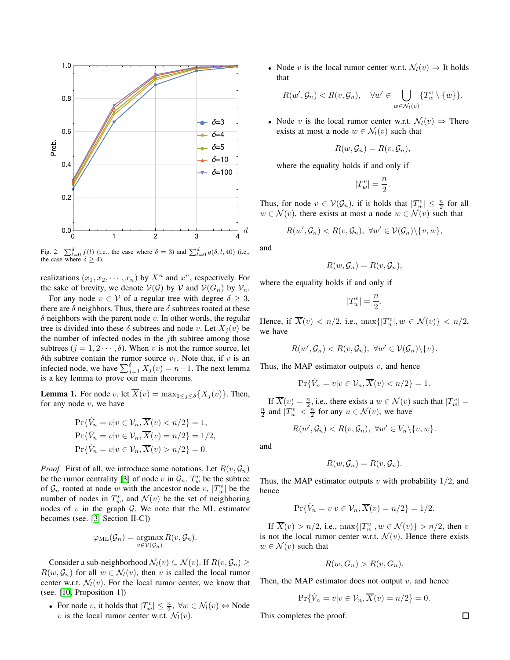

<span id="page-2-0"></span>Fig. 2.  $\sum_{l=0}^{d} f(l)$  (i.e., the case where  $\delta = 3$ ) and  $\sum_{l=0}^{d} g(\delta, l, 40)$  (i.e., the case where  $\delta \geq 4$ ).

realizations  $(x_1, x_2, \dots, x_n)$  by  $X^n$  and  $x^n$ , respectively. For the sake of brevity, we denote  $V(G)$  by V and  $V(G_n)$  by  $V_n$ .

For any node  $v \in V$  of a regular tree with degree  $\delta \geq 3$ , there are  $\delta$  neighbors. Thus, there are  $\delta$  subtrees rooted at these  $\delta$  neighbors with the parent node v. In other words, the regular tree is divided into these  $\delta$  subtrees and node v. Let  $X_i(v)$  be the number of infected nodes in the  $j$ th subtree among those subtrees  $(j = 1, 2 \cdots, \delta)$ . When v is not the rumor source, let  $\delta$ th subtree contain the rumor source  $v_1$ . Note that, if v is an infected node, we have  $\sum_{j=1}^{\delta} X_j(v) = n-1$ . The next lemma is a key lemma to prove our main theorems.

<span id="page-2-1"></span>**Lemma 1.** For node v, let  $\overline{X}(v) = \max_{1 \leq j \leq \delta} \{X_j(v)\}.$  Then, for any node  $v$ , we have

$$
\Pr{\hat{V}_n = v|v \in \mathcal{V}_n, \overline{X}(v) < n/2} = 1, \n\Pr{\hat{V}_n = v|v \in \mathcal{V}_n, \overline{X}(v) = n/2} = 1/2, \n\Pr{\hat{V}_n = v|v \in \mathcal{V}_n, \overline{X}(v) > n/2} = 0.
$$

*Proof.* First of all, we introduce some notations. Let  $R(v, \mathcal{G}_n)$ be the rumor centrality [\[3\]](#page-13-1) of node v in  $\mathcal{G}_n$ ,  $T_w^v$  be the subtree of  $\mathcal{G}_n$  rooted at node w with the ancestor node v,  $|T_w^v|$  be the number of nodes in  $T_w^v$ , and  $\mathcal{N}(v)$  be the set of neighboring nodes of  $v$  in the graph  $G$ . We note that the ML estimator becomes (see. [\[3,](#page-13-1) Section II-C])

$$
\varphi_{\text{ML}}(\mathcal{G}_n) = \operatorname*{argmax}_{v \in \mathcal{V}(\mathcal{G}_n)} R(v, \mathcal{G}_n).
$$

Consider a sub-neighborhood  $\mathcal{N}_l(v) \subseteq \mathcal{N}(v)$ . If  $R(v, \mathcal{G}_n) \geq$  $R(w, \mathcal{G}_n)$  for all  $w \in \mathcal{N}_l(v)$ , then v is called the local rumor center w.r.t.  $\mathcal{N}_l(v)$ . For the local rumor center, we know that (see. [\[10,](#page-13-9) Proposition 1])

• For node v, it holds that  $|T_w^v| \leq \frac{n}{2}$ ,  $\forall w \in \mathcal{N}_l(v) \Leftrightarrow$  Node v is the local rumor center w.r.t.  $\mathcal{N}_l(v)$ .

• Node v is the local rumor center w.r.t.  $\mathcal{N}_l(v) \Rightarrow$  It holds that

$$
R(w', \mathcal{G}_n) < R(v, \mathcal{G}_n), \quad \forall w' \in \bigcup_{w \in \mathcal{N}_l(v)} \{T_w^v \setminus \{w\}\}.
$$

• Node v is the local rumor center w.r.t.  $\mathcal{N}_l(v) \Rightarrow$  There exists at most a node  $w \in \mathcal{N}_l(v)$  such that

$$
R(w,\mathcal{G}_n)=R(v,\mathcal{G}_n),
$$

where the equality holds if and only if

$$
|T_w^v|=\frac{n}{2}.
$$

Thus, for node  $v \in V(\mathcal{G}_n)$ , if it holds that  $|T_w^v| \leq \frac{n}{2}$  for all  $w \in \mathcal{N}(v)$ , there exists at most a node  $w \in \mathcal{N}(v)$  such that

$$
R(w', \mathcal{G}_n) < R(v, \mathcal{G}_n), \ \forall w' \in \mathcal{V}(\mathcal{G}_n) \setminus \{v, w\},
$$

and

$$
R(w, \mathcal{G}_n) = R(v, \mathcal{G}_n),
$$

where the equality holds if and only if

$$
|T_w^v| = \frac{n}{2}.
$$

Hence, if  $\overline{X}(v) < n/2$ , i.e.,  $\max\{|T_w^v|, w \in \mathcal{N}(v)\} < n/2$ , we have

$$
R(w', \mathcal{G}_n) < R(v, \mathcal{G}_n), \ \forall w' \in \mathcal{V}(\mathcal{G}_n) \setminus \{v\}.
$$

Thus, the MAP estimator outputs  $v$ , and hence

$$
\Pr\{\hat{V}_n = v | v \in \mathcal{V}_n, \overline{X}(v) < n/2\} = 1.
$$

If  $\overline{X}(v) = \frac{n}{2}$ , i.e., there exists a  $w \in \mathcal{N}(v)$  such that  $|T_w^v| =$  $\frac{n}{2}$  and  $|T_u^v| < \frac{n}{2}$  for any  $u \in \mathcal{N}(v)$ , we have

$$
R(w', \mathcal{G}_n) < R(v, \mathcal{G}_n), \ \forall w' \in V_n \setminus \{v, w\}.
$$

and

$$
R(w, \mathcal{G}_n) = R(v, \mathcal{G}_n).
$$

Thus, the MAP estimator outputs v with probability  $1/2$ , and hence

$$
\Pr\{\hat{V}_n = v | v \in \mathcal{V}_n, \overline{X}(v) = n/2\} = 1/2.
$$

If  $\overline{X}(v) > n/2$ , i.e.,  $\max\{|T_w^v|, w \in \mathcal{N}(v)\} > n/2$ , then v is not the local rumor center w.r.t.  $\mathcal{N}(v)$ . Hence there exists  $w \in \mathcal{N}(v)$  such that

$$
R(w, G_n) > R(v, G_n).
$$

Then, the MAP estimator does not output  $v$ , and hence

$$
\Pr\{\hat{V}_n = v | v \in \mathcal{V}_n, \overline{X}(v) = n/2\} = 0.
$$

This completes the proof.

 $\Box$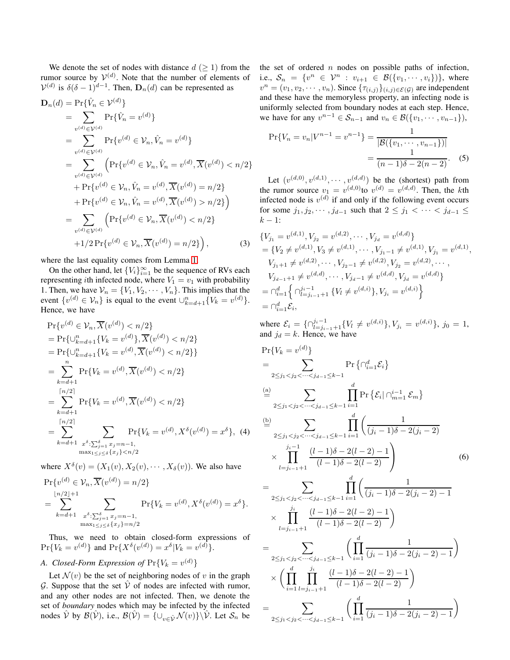We denote the set of nodes with distance  $d \geq 1$  from the rumor source by  $V^{(d)}$ . Note that the number of elements of  $\mathcal{V}^{(d)}$  is  $\delta(\delta - 1)^{d-1}$ . Then,  $\mathbf{D}_n(d)$  can be represented as

$$
\mathbf{D}_{n}(d) = \Pr{\hat{V}_{n} \in \mathcal{V}^{(d)}\}\n= \sum_{v^{(d)} \in \mathcal{V}^{(d)}} \Pr{\hat{V}_{n} = v^{(d)}\}\n= \sum_{v^{(d)} \in \mathcal{V}^{(d)}} \Pr{\{v^{(d)} \in \mathcal{V}_{n}, \hat{V}_{n} = v^{(d)}\}\n= \sum_{v^{(d)} \in \mathcal{V}^{(d)}} \left(\Pr{\{v^{(d)} \in \mathcal{V}_{n}, \hat{V}_{n} = v^{(d)}, \overline{X}(v^{(d)}) < n/2}\}\right)\n+ \Pr{\{v^{(d)} \in \mathcal{V}_{n}, \hat{V}_{n} = v^{(d)}, \overline{X}(v^{(d)}) = n/2\}\n+ \Pr{\{v^{(d)} \in \mathcal{V}_{n}, \hat{V}_{n} = v^{(d)}, \overline{X}(v^{(d)}) > n/2\}}\n= \sum_{v^{(d)} \in \mathcal{V}^{(d)}} \left(\Pr{\{v^{(d)} \in \mathcal{V}_{n}, \overline{X}(v^{(d)}) < n/2}\}\right)\n+ 1/2 \Pr{\{v^{(d)} \in \mathcal{V}_{n}, \overline{X}(v^{(d)}) = n/2\}}\right),
$$
\n(3)

where the last equality comes from Lemma [1.](#page-2-1)

On the other hand, let  $\{V_i\}_{i=1}^{\infty}$  be the sequence of RVs each representing *i*th infected node, where  $V_1 = v_1$  with probability 1. Then, we have  $V_n = \{V_1, V_2, \cdots, V_n\}$ . This implies that the event  $\{v^{(d)} \in V_n\}$  is equal to the event  $\cup_{k=d+1}^n \{V_k = v^{(d)}\}.$ Hence, we have

$$
\Pr\{v^{(d)} \in \mathcal{V}_n, \overline{X}(v^{(d)}) < n/2\} \\
= \Pr\{\cup_{k=d+1}^n \{V_k = v^{(d)}\}, \overline{X}(v^{(d)}) < n/2\} \\
= \Pr\{\cup_{k=d+1}^n \{V_k = v^{(d)}, \overline{X}(v^{(d)}) < n/2\}\} \\
= \sum_{k=d+1}^n \Pr\{V_k = v^{(d)}, \overline{X}(v^{(d)}) < n/2\} \\
= \sum_{k=d+1}^{\lceil n/2 \rceil} \Pr\{V_k = v^{(d)}, \overline{X}(v^{(d)}) < n/2\} \\
= \sum_{k=d+1}^{\lceil n/2 \rceil} \sum_{\substack{n \text{ odd}}} \Pr\{V_k = v^{(d)}, X^{\delta}(v^{(d)}) = x^{\delta}\}, \quad (4)
$$
\n
$$
\max_{1 \le j \le \delta} \{x_j\} < n/2
$$

where  $X^{\delta}(v) = (X_1(v), X_2(v), \cdots, X_{\delta}(v))$ . We also have

$$
\Pr\{v^{(d)} \in \mathcal{V}_n, \overline{X}(v^{(d)}) = n/2\}
$$
\n
$$
= \sum_{k=d+1}^{\lfloor n/2 \rfloor + 1} \sum_{\substack{x^{\delta} : \sum_{j=1}^{\delta} x_j = n-1, \\ \max_{1 \le j \le \delta} \{x_j\} = n/2}} \Pr\{V_k = v^{(d)}, X^{\delta}(v^{(d)}) = x^{\delta}\}.
$$

Thus, we need to obtain closed-form expressions of  $Pr{V_k = v^{(d)}\}$  and  $Pr{X^{\delta}(v^{(d)}) = x^{\delta}|V_k = v^{(d)}\}.$ 

# *A. Closed-Form Expression of*  $Pr{V_k = v^{(d)} }$

Let  $\mathcal{N}(v)$  be the set of neighboring nodes of v in the graph G. Suppose that the set  $\hat{V}$  of nodes are infected with rumor, and any other nodes are not infected. Then, we denote the set of *boundary* nodes which may be infected by the infected nodes  $\hat{V}$  by  $\hat{B}(\hat{V})$ , i.e.,  $\hat{B}(\hat{V}) = \{U_{v \in \hat{V}} \mathcal{N}(v)\}\backslash \hat{V}$ . Let  $\mathcal{S}_n$  be the set of ordered  $n$  nodes on possible paths of infection, i.e.,  $S_n = \{v^n \in \mathcal{V}^n : v_{i+1} \in \mathcal{B}(\{v_1, \dots, v_i\})\}\$ , where  $v^n = (v_1, v_2, \dots, v_n)$ . Since  $\{\tau_{(i,j)}\}_{(i,j)\in \mathcal{E}(\mathcal{G})}$  are independent and these have the memoryless property, an infecting node is uniformly selected from boundary nodes at each step. Hence, we have for any  $v^{n-1} \in S_{n-1}$  and  $v_n \in \mathcal{B}(\lbrace v_1, \cdots, v_{n-1} \rbrace)$ ,

<span id="page-3-2"></span>
$$
\Pr\{V_n = v_n | V^{n-1} = v^{n-1}\} = \frac{1}{|\mathcal{B}(\{v_1, \dots, v_{n-1}\})|}
$$

$$
= \frac{1}{(n-1)\delta - 2(n-2)}.
$$
 (5)

Let  $(v^{(d,0)}, v^{(d,1)}, \cdots, v^{(d,d)})$  be the (shortest) path from the rumor source  $v_1 = v^{(d,0)}$  to  $v^{(d)} = v^{(d,d)}$ . Then, the kth infected node is  $v^{(d)}$  if and only if the following event occurs for some  $j_1, j_2, \cdots, j_{d-1}$  such that  $2 \leq j_1 < \cdots < j_{d-1} \leq$  $k - 1$ :

<span id="page-3-0"></span>
$$
\{V_{j_1} = v^{(d,1)}, V_{j_2} = v^{(d,2)}, \dots, V_{j_d} = v^{(d,d)}\}
$$
  
\n
$$
= \{V_2 \neq v^{(d,1)}, V_3 \neq v^{(d,1)}, \dots, V_{j_1-1} \neq v^{(d,1)}, V_{j_1} = v^{(d,1)},
$$
  
\n
$$
V_{j_1+1} \neq v^{(d,2)}, \dots, V_{j_2-1} \neq v^{(d,2)}, V_{j_2} = v^{(d,2)}, \dots,
$$
  
\n
$$
V_{j_{d-1}+1} \neq v^{(d,d)}, \dots, V_{j_d-1} \neq v^{(d,d)}, V_{j_d} = v^{(d,d)}\}
$$
  
\n
$$
= \bigcap_{i=1}^d \left\{\bigcap_{l=j_{i-1}+1}^{j_i-1} \{V_l \neq v^{(d,i)}\}, V_{j_i} = v^{(d,i)}\right\}
$$
  
\n
$$
= \bigcap_{i=1}^d \mathcal{E}_i,
$$

where  $\mathcal{E}_i = \{ \bigcap_{l=j_{i-1}+1}^{j_i-1} \{V_l \neq v^{(d,i)}\}, V_{j_i} = v^{(d,i)}\}, j_0 = 1$ , and  $j_d = k$ . Hence, we have

<span id="page-3-3"></span><span id="page-3-1"></span>
$$
\Pr\{V_{k} = v^{(d)}\}
$$
\n
$$
= \sum_{2 \leq j_{1} < j_{2} < \cdots < j_{d-1} \leq k-1} \Pr\{\cap_{i=1}^{d} \mathcal{E}_{i}\}
$$
\n
$$
\stackrel{(a)}{=} \sum_{2 \leq j_{1} < j_{2} < \cdots < j_{d-1} \leq k-1} \prod_{i=1}^{d} \Pr\{\mathcal{E}_{i} | \cap_{m=1}^{i-1} \mathcal{E}_{m}\}
$$
\n
$$
\stackrel{(b)}{=} \sum_{2 \leq j_{1} < j_{2} < \cdots < j_{d-1} \leq k-1} \prod_{i=1}^{d} \left(\frac{1}{(j_{i}-1)\delta - 2(j_{i}-2)}\right)
$$
\n
$$
\times \prod_{l=j_{i-1}+1}^{j_{i-1}} \frac{(l-1)\delta - 2(l-2) - 1}{(l-1)\delta - 2(l-2)} \right) \tag{6}
$$
\n
$$
= \sum_{2 \leq j_{1} < j_{2} < \cdots < j_{d-1} \leq k-1} \prod_{i=1}^{d} \left(\frac{1}{(j_{i}-1)\delta - 2(j_{i}-2) - 1}\right)
$$
\n
$$
\times \prod_{l=j_{i-1}+1}^{j_{i}} \frac{(l-1)\delta - 2(l-2) - 1}{(l-1)\delta - 2(l-2)} \right)
$$
\n
$$
= \sum_{2 \leq j_{1} < j_{2} < \cdots < j_{d-1} \leq k-1} \left(\prod_{i=1}^{d} \frac{1}{(j_{i}-1)\delta - 2(j_{i}-2) - 1}\right)
$$
\n
$$
\times \left(\prod_{i=1}^{d} \prod_{l=j_{i-1}+1}^{j_{i}} \frac{(l-1)\delta - 2(l-2) - 1}{(l-1)\delta - 2(l-2)}\right)
$$
\n
$$
= \sum_{2 \leq j_{1} < j_{2} < \cdots < j_{d-1} \leq k-1} \left(\prod_{i=1}^{d} \frac{1}{(j_{i}-1)\delta - 2(j_{i}-2) - 1}\right)
$$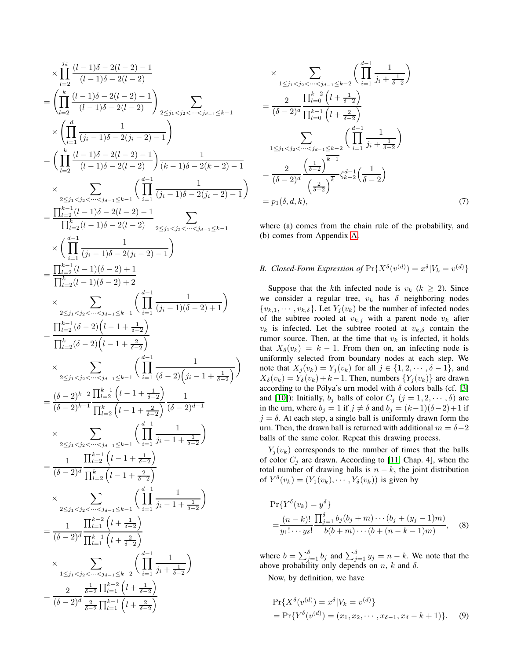$$
\times \prod_{l=2}^{j_{d}} \frac{(l-1)\delta - 2(l-2) - 1}{(l-1)\delta - 2(l-2)}
$$
\n
$$
= \left(\prod_{l=2}^{k} \frac{(l-1)\delta - 2(l-2) - 1}{(l-1)\delta - 2(l-2)}\right)_{2 \leq j_{1} < j_{2} < \cdots < j_{d-1} \leq k-1}
$$
\n
$$
\times \left(\prod_{i=1}^{d} \frac{1}{(j_{i}-1)\delta - 2(j_{i}-2) - 1}\right)
$$
\n
$$
= \left(\prod_{l=2}^{k} \frac{(l-1)\delta - 2(l-2) - 1}{(l-1)\delta - 2(l-2)}\right) \frac{1}{(k-1)\delta - 2(k-2) - 1}
$$
\n
$$
\times \sum_{2 \leq j_{1} < j_{2} < \cdots < j_{d-1} \leq k-1} \left(\prod_{i=1}^{d-1} \frac{1}{(j_{i}-1)\delta - 2(k-2) - 1}\right)
$$
\n
$$
\times \sum_{2 \leq j_{1} < j_{2} < \cdots < j_{d-1} \leq k-1} \left(\prod_{i=1}^{d-1} \frac{1}{(j_{i}-1)\delta - 2(l-2)}\right)
$$
\n
$$
\times \left(\prod_{i=1}^{d-1} \frac{1}{(j_{i}-1)\delta - 2(l-2)}\right)_{2 \leq j_{1} < j_{2} < \cdots < j_{d-1} \leq k-1}
$$
\n
$$
\times \left(\prod_{i=1}^{d-1} \frac{1}{(j_{i}-1)\delta - 2(l-2)}\right)
$$
\n
$$
\times \sum_{2 \leq j_{1} < j_{2} < \cdots < j_{d-1} \leq k-1} \left(\prod_{i=1}^{d-1} \frac{1}{(j_{i}-1)(\delta - 2) + 1}\right)
$$
\n
$$
\frac{\prod_{l=2}^{k-1} (l-1)(\delta - 2) + 2}{\prod_{l=2}^{k-1} (l-1)(\delta - 2) + 2}
$$
\n
$$
\times \sum_{2 \leq j_{1} < j_{2} < \cdots < j_{d-1} \leq k-1} \left(\prod_{i=1}^{d-1} \
$$

$$
\times \sum_{1 \leq j_1 < j_2 < \cdots < j_{d-1} \leq k-2} \left( \prod_{i=1}^{d-1} \frac{1}{j_i + \frac{1}{\delta-2}} \right)
$$
\n
$$
= \frac{2}{(\delta - 2)^d} \frac{\prod_{l=0}^{k-2} \left( l + \frac{1}{\delta - 2} \right)}{\prod_{l=0}^{k-1} \left( l + \frac{2}{\delta - 2} \right)}
$$
\n
$$
\sum_{1 \leq j_1 < j_2 < \cdots < j_{d-1} \leq k-2} \left( \prod_{i=1}^{d-1} \frac{1}{j_i + \frac{1}{\delta - 2}} \right)
$$
\n
$$
= \frac{2}{(\delta - 2)^d} \frac{\left( \frac{1}{\delta - 2} \right)^{\overline{k-1}}}{\left( \frac{2}{\delta - 2} \right)^{\overline{k}}} \zeta_{k-2}^{d-1} \left( \frac{1}{\delta - 2} \right)
$$
\n
$$
= p_1(\delta, d, k), \tag{7}
$$

<span id="page-4-0"></span>where (a) comes from the chain rule of the probability, and (b) comes from Appendix [A.](#page-8-0)

# *B.* Closed-Form Expression of  $Pr\{X^{\delta}(v^{(d)}) = x^{\delta}|V_k = v^{(d)}\}$

Suppose that the kth infected node is  $v_k$  ( $k \ge 2$ ). Since we consider a regular tree,  $v_k$  has  $\delta$  neighboring nodes  $\{v_{k,1}, \dots, v_{k,\delta}\}.$  Let  $Y_j(v_k)$  be the number of infected nodes of the subtree rooted at  $v_{k,j}$  with a parent node  $v_k$  after  $v_k$  is infected. Let the subtree rooted at  $v_{k,\delta}$  contain the rumor source. Then, at the time that  $v_k$  is infected, it holds that  $X_{\delta}(v_k) = k - 1$ . From then on, an infecting node is uniformly selected from boundary nodes at each step. We note that  $X_i(v_k) = Y_i(v_k)$  for all  $j \in \{1, 2, \dots, \delta - 1\}$ , and  $X_{\delta}(v_k) = Y_{\delta}(v_k) + k - 1$ . Then, numbers  $\{Y_j(v_k)\}\$ are drawn according to the Pólya's urn model with  $\delta$  colors balls (cf. [\[3\]](#page-13-1) and [\[10\]](#page-13-9)): Initially,  $b_j$  balls of color  $C_j$   $(j = 1, 2, \dots, \delta)$  are in the urn, where  $b_j = 1$  if  $j \neq \delta$  and  $b_j = (k-1)(\delta-2)+1$  if  $j = \delta$ . At each step, a single ball is uniformly drawn form the urn. Then, the drawn ball is returned with additional  $m = \delta - 2$ balls of the same color. Repeat this drawing process.

 $Y_i(v_k)$  corresponds to the number of times that the balls of color  $C_j$  are drawn. According to [\[11,](#page-13-10) Chap. 4], when the total number of drawing balls is  $n - k$ , the joint distribution of  $Y^{\delta}(v_k) = (Y_1(v_k), \cdots, Y_{\delta}(v_k))$  is given by

<span id="page-4-1"></span>
$$
\Pr\{Y^{\delta}(v_k) = y^{\delta}\}\n= \frac{(n-k)!}{y_1! \cdots y_{\delta}!} \frac{\prod_{j=1}^{\delta} b_j (b_j + m) \cdots (b_j + (y_j - 1)m)}{b(b+m) \cdots (b + (n - k - 1)m)},
$$
\n(8)

where  $b = \sum_{j=1}^{\delta} b_j$  and  $\sum_{j=1}^{\delta} y_j = n - k$ . We note that the above probability only depends on  $n$ ,  $k$  and  $\delta$ .

Now, by definition, we have

<span id="page-4-2"></span>
$$
\Pr\{X^{\delta}(v^{(d)}) = x^{\delta}|V_k = v^{(d)}\}
$$
  
= 
$$
\Pr\{Y^{\delta}(v^{(d)}) = (x_1, x_2, \cdots, x_{\delta-1}, x_{\delta} - k + 1)\}.
$$
 (9)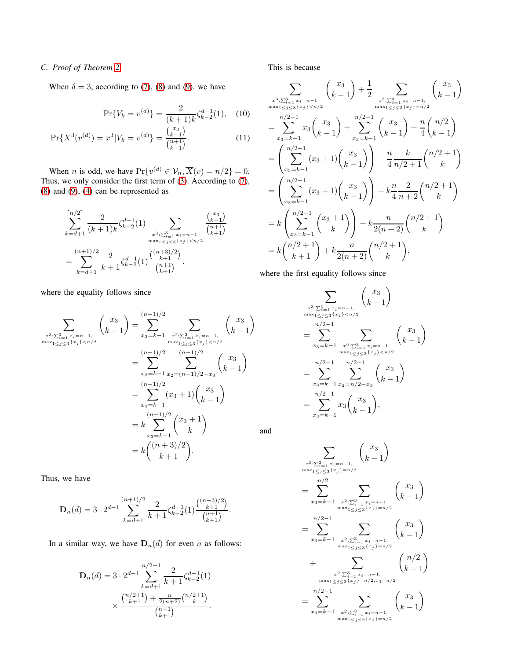## *C. Proof of Theorem [2](#page-1-5)*

When  $\delta = 3$ , according to [\(7\)](#page-4-0), [\(8\)](#page-4-1) and [\(9\)](#page-4-2), we have

$$
\Pr\{V_k = v^{(d)}\} = \frac{2}{(k+1)k} \zeta_{k-2}^{d-1}(1), \quad (10)
$$

$$
\Pr\{X^3(v^{(d)}) = x^3 | V_k = v^{(d)}\} = \frac{\binom{x_3}{k-1}}{\binom{n+1}{k+1}}.\tag{11}
$$

When *n* is odd, we have  $Pr\{v^{(d)} \in V_n, \overline{X}(v) = n/2\} = 0$ . Thus, we only consider the first term of [\(3\)](#page-3-0). According to [\(7\)](#page-4-0),  $(8)$  and  $(9)$ ,  $(4)$  can be represented as

$$
\sum_{k=d+1}^{\lceil n/2 \rceil} \frac{2}{(k+1)k} \zeta_{k-2}^{d-1}(1) \sum_{\substack{x^3:\sum_{i=1}^3 x_i = n-1,\\ \max_{1 \le j \le 3} \{x_j\} < n/2}} \frac{\binom{x_3}{k-1}}{\binom{n+1}{k+1}}}{\binom{n+3}{k+1} \sum_{\substack{n \ge x_i \le n/2 \\ \left\lfloor \frac{n+3}{k+1} \right\rfloor}} \frac{2}{k+1} \zeta_{k-2}^{d-1}(1) \frac{\binom{(n+3)/2}{k+1}}{\binom{n+1}{k+1}}.
$$

where the equality follows since

$$
\sum_{x^3:\sum_{i=1}^3 x_i = n-1, \atop \max_{1 \le j \le 3} \{x_j\} < n/2} x_3 = \sum_{x_3=k-1}^{(n-1)/2} \sum_{\substack{x^2:\sum_{i=1}^3 x_i = n-1, \atop \max_{1 \le j \le 3} \{x_j\} < n/2}} \binom{x_3}{k-1}
$$
\n
$$
= \sum_{x_3=k-1}^{(n-1)/2} \sum_{x_2=(n-1)/2-x_3}^{(n-1)/2} \binom{x_3}{k-1}
$$
\n
$$
= \sum_{x_3=k-1}^{(n-1)/2} (x_3+1) \binom{x_3}{k-1}
$$
\n
$$
= k \sum_{x_3=k-1}^{(n-1)/2} \binom{x_3+1}{k}
$$
\n
$$
= k \binom{(n+3)/2}{k+1}.
$$

Thus, we have

$$
\mathbf{D}_{n}(d) = 3 \cdot 2^{d-1} \sum_{k=d+1}^{(n+1)/2} \frac{2}{k+1} \zeta_{k-2}^{d-1}(1) \frac{\binom{(n+3)/2}{k+1}}{\binom{n+1}{k+1}}.
$$

In a similar way, we have  $D_n(d)$  for even n as follows:

$$
\mathbf{D}_n(d) = 3 \cdot 2^{d-1} \sum_{k=d+1}^{n/2+1} \frac{2}{k+1} \zeta_{k-2}^{d-1}(1)
$$

$$
\times \frac{\binom{n/2+1}{k+1} + \frac{n}{2(n+2)} \binom{n/2+1}{k}}{\binom{n+1}{k+1}}.
$$

## This is because

$$
\sum_{\substack{x^3:\sum_{i=1}^3 x_i = n-1,\\ \max_1 \le j \le 3^{x_j} \ge n/2}} \binom{x_3}{k-1} + \frac{1}{2} \sum_{\substack{x^3:\sum_{i=1}^3 x_i = n-1,\\ \max_1 \le j \le 3^{x_j} \ge n/2}} \binom{x_3}{k-1}
$$
\n
$$
= \sum_{x_3=k-1}^{n/2-1} x_3 \binom{x_3}{k-1} + \sum_{x_3=k-1}^{n/2-1} \binom{x_3}{k-1} + \frac{n}{4} \binom{n/2}{k-1}
$$
\n
$$
= \left( \sum_{x_3=k-1}^{n/2-1} (x_3+1) \binom{x_3}{k-1} \right) + \frac{n}{4} \frac{k}{n/2+1} \binom{n/2+1}{k}
$$
\n
$$
= \left( \sum_{x_3=k-1}^{n/2-1} (x_3+1) \binom{x_3}{k-1} \right) + k \frac{n}{4} \frac{2}{n+2} \binom{n/2+1}{k}
$$
\n
$$
= k \left( \sum_{x_3=k-1}^{n/2-1} \binom{x_3+1}{k} \right) + k \frac{n}{2(n+2)} \binom{n/2+1}{k}
$$
\n
$$
= k \binom{n/2+1}{k+1} + k \frac{n}{2(n+2)} \binom{n/2+1}{k},
$$

where the first equality follows since

$$
\sum_{x^3:\sum_{i=1}^3 x_i = n-1, \atop \max_{1 \le j \le 3} \{x_j\} < n/2} \binom{x_3}{k-1}
$$
\n
$$
= \sum_{x_3=k-1}^{n/2-1} \sum_{\substack{x^2:\sum_{i=1}^3 x_i = n-1, \atop \max_{1 \le j \le 3} \{x_j\} < n/2}} \binom{x_3}{k-1}
$$
\n
$$
= \sum_{x_3=k-1}^{n/2-1} \sum_{x_2=n/2-x_3}^{n/2-1} \binom{x_3}{k-1}
$$
\n
$$
= \sum_{x_3=k-1}^{n/2-1} x_3 \binom{x_3}{k-1},
$$

and

$$
\sum_{x^3:\sum_{i=1}^3 x_i = n-1, \atop \max_{1 \le j \le 3} \{x_j\} = n/2} {x_3 \choose k-1}
$$
\n
$$
= \sum_{x_3=k-1}^{n/2} \sum_{x^2:\sum_{i=1}^3 x_i = n-1, \atop \max_{1 \le j \le 3} \{x_j\} = n/2} {x_3 \choose k-1}
$$
\n
$$
= \sum_{x_3=k-1}^{n/2-1} \sum_{x^2:\sum_{i=1}^3 x_i = n-1, \atop \max_{1 \le j \le 3} \{x_j\} = n/2} {x_3 \choose k-1}
$$
\n
$$
+ \sum_{x^2:\sum_{i=1}^3 x_i = n-1, \atop \max_{1 \le j \le 3} \{x_j\} = n/2, x_3 = n/2} {n/2 \choose k-1}
$$
\n
$$
= \sum_{x_3=k-1}^{n/2-1} \sum_{x^2:\sum_{i=1}^3 x_i = n-1, \atop \max_{1 \le j \le 2} \{x_j\} = n/2} {x_3 \choose k-1}
$$
\n
$$
\sum_{\max_{1 \le j \le 2} \{x_j\} = n/2}^{n/2}
$$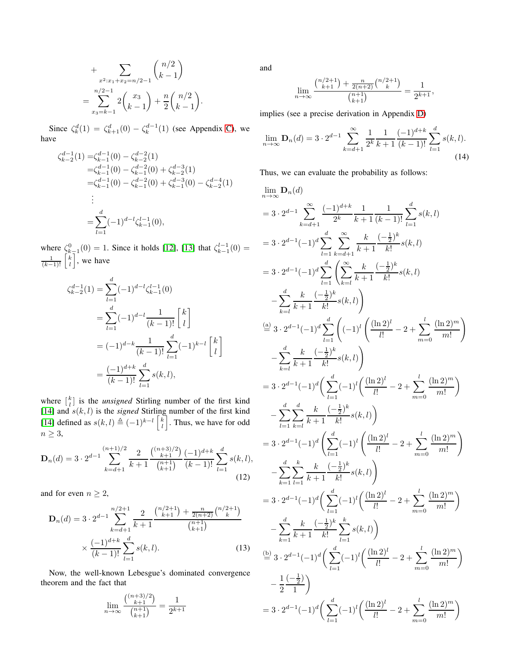+ 
$$
\sum_{x^2:x_1+x_2=n/2-1} {n/2 \choose k-1}
$$
  
= 
$$
\sum_{x_3=k-1}^{n/2-1} 2 {x_3 \choose k-1} + \frac{n}{2} {n/2 \choose k-1}.
$$

Since  $\zeta_k^d(1) = \zeta_{k+1}^d(0) - \zeta_k^{d-1}(1)$  (see Appendix [C\)](#page-9-0), we have

$$
\begin{aligned}\n\zeta_{k-2}^{d-1}(1) &= &\zeta_{k-1}^{d-1}(0) - \zeta_{k-2}^{d-2}(1) \\
&= &\zeta_{k-1}^{d-1}(0) - \zeta_{k-1}^{d-2}(0) + \zeta_{k-2}^{d-3}(1) \\
&= &\zeta_{k-1}^{d-1}(0) - \zeta_{k-1}^{d-2}(0) + \zeta_{k-1}^{d-3}(0) - \zeta_{k-2}^{d-4}(1) \\
&\vdots \\
&= &\sum_{l=1}^d (-1)^{d-l} \zeta_{k-1}^{l-1}(0),\n\end{aligned}
$$

where  $\zeta_{k-1}^0(0) = 1$ . Since it holds [\[12\]](#page-13-11), [\[13\]](#page-14-0) that  $\zeta_{k-1}^{l-1}(0) =$  $\frac{1}{(k-1)!}$   $\begin{bmatrix} k \\ l \end{bmatrix}$ , we have

$$
\zeta_{k-2}^{d-1}(1) = \sum_{l=1}^{d} (-1)^{d-l} \zeta_{k-1}^{l-1}(0)
$$
  
= 
$$
\sum_{l=1}^{d} (-1)^{d-l} \frac{1}{(k-1)!} \begin{bmatrix} k \\ l \end{bmatrix}
$$
  
= 
$$
(-1)^{d-k} \frac{1}{(k-1)!} \sum_{l=1}^{d} (-1)^{k-l} \begin{bmatrix} k \\ l \end{bmatrix}
$$
  
= 
$$
\frac{(-1)^{d+k}}{(k-1)!} \sum_{l=1}^{d} s(k, l),
$$

where  $\begin{bmatrix} k \\ l \end{bmatrix}$  is the *unsigned* Stirling number of the first kind [\[14\]](#page-14-1) and  $s(k, l)$  is the *signed* Stirling number of the first kind [\[14\]](#page-14-1) defined as  $s(k, l) \triangleq (-1)^{k-l} \begin{bmatrix} k \\ l \end{bmatrix}$ . Thus, we have for odd  $n \geq 3$ ,

$$
\mathbf{D}_n(d) = 3 \cdot 2^{d-1} \sum_{k=d+1}^{(n+1)/2} \frac{2}{k+1} \frac{\binom{(n+3)/2}{k+1}}{\binom{n+1}{k+1}} \frac{(-1)^{d+k}}{(k-1)!} \sum_{l=1}^d s(k,l),\tag{12}
$$

and for even  $n \geq 2$ ,

$$
\mathbf{D}_{n}(d) = 3 \cdot 2^{d-1} \sum_{k=d+1}^{n/2+1} \frac{2}{k+1} \frac{\binom{n/2+1}{k+1} + \frac{n}{2(n+2)} \binom{n/2+1}{k}}{\binom{n+1}{k+1}} \times \frac{(-1)^{d+k}}{(k-1)!} \sum_{l=1}^{d} s(k, l). \tag{13}
$$

Now, the well-known Lebesgue's dominated convergence theorem and the fact that

<span id="page-6-2"></span><span id="page-6-1"></span>
$$
\lim_{n \to \infty} \frac{\binom{(n+3)/2}{k+1}}{\binom{n+1}{k+1}} = \frac{1}{2^{k+1}}
$$

and

<span id="page-6-0"></span>
$$
\lim_{n \to \infty} \frac{\binom{n/2+1}{k+1} + \frac{n}{2(n+2)} \binom{n/2+1}{k}}{\binom{n+1}{k+1}} = \frac{1}{2^{k+1}},
$$

implies (see a precise derivation in Appendix [D\)](#page-10-0)

$$
\lim_{n \to \infty} \mathbf{D}_n(d) = 3 \cdot 2^{d-1} \sum_{k=d+1}^{\infty} \frac{1}{2^k} \frac{1}{k+1} \frac{(-1)^{d+k}}{(k-1)!} \sum_{l=1}^d s(k, l).
$$
\n(14)

Thus, we can evaluate the probability as follows:

$$
\lim_{n \to \infty} \mathbf{D}_n(d)
$$
\n
$$
= 3 \cdot 2^{d-1} \sum_{k=d+1}^{\infty} \frac{(-1)^{d+k}}{2^k} \frac{1}{k+1} \frac{1}{(k-1)!} \sum_{l=1}^d s(k, l)
$$
\n
$$
= 3 \cdot 2^{d-1} (-1)^d \sum_{l=1}^d \sum_{k=d+1}^{\infty} \frac{k}{k+1} \frac{(-\frac{1}{2})^k}{k!} s(k, l)
$$
\n
$$
= 3 \cdot 2^{d-1} (-1)^d \sum_{l=1}^d \left( \sum_{k=l}^{\infty} \frac{k}{k+1} \frac{(-\frac{1}{2})^k}{k!} s(k, l) \right)
$$
\n
$$
- \sum_{k=l}^d \frac{k}{k+1} \frac{(-\frac{1}{2})^k}{k!} s(k, l) \right)
$$
\n
$$
\stackrel{(a)}{=} 3 \cdot 2^{d-1} (-1)^d \sum_{l=1}^d \left( (-1)^l \left( \frac{(\ln 2)^l}{l!} - 2 + \sum_{m=0}^l \frac{(\ln 2)^m}{m!} \right) \right)
$$
\n
$$
- \sum_{k=l}^d \frac{k}{k+1} \frac{(-\frac{1}{2})^k}{k!} s(k, l) \right)
$$
\n
$$
= 3 \cdot 2^{d-1} (-1)^d \left( \sum_{l=1}^d (-1)^l \left( \frac{(\ln 2)^l}{l!} - 2 + \sum_{m=0}^l \frac{(\ln 2)^m}{m!} \right) \right)
$$
\n
$$
- \sum_{l=1}^d \sum_{k=l}^d \frac{k}{k+1} \frac{(-\frac{1}{2})^k}{k!} s(k, l) \right)
$$
\n
$$
= 3 \cdot 2^{d-1} (-1)^d \left( \sum_{l=1}^d (-1)^l \left( \frac{(\ln 2)^l}{l!} - 2 + \sum_{m=0}^l \frac{(\ln 2)^m}{m!} \right)
$$
\n
$$
- \sum_{k=1}^d \sum_{l=1}^k \frac{k}{k+1} \frac{(-\frac{1}{2})^k}{k!} s(k, l) \right)
$$
\n<math display="</math>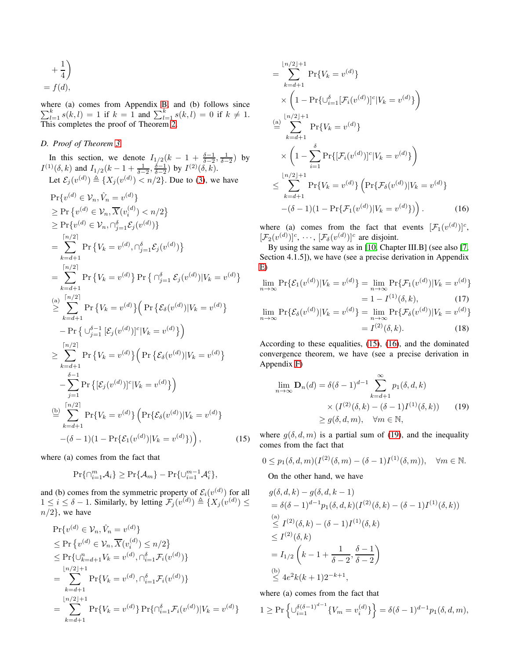$$
+\frac{1}{4}
$$
  
=  $f(d)$ ,

where (a) comes from Appendix [B,](#page-8-1) and (b) follows since  $\sum_{l=1}^{k} s(k, l) = 1$  if  $k = 1$  and  $\sum_{l=1}^{k} s(k, l) = 0$  if  $k \neq 1$ . This completes the proof of Theorem [2.](#page-1-5)

## *D. Proof of Theorem [3](#page-1-1)*

In this section, we denote  $I_{1/2}(k-1+\frac{\delta-1}{\delta-2},\frac{1}{\delta-2})$  by  $I^{(1)}(\delta, k)$  and  $I_{1/2}(k-1+\frac{1}{\delta-2}, \frac{\delta-1}{\delta-2})$  by  $I^{(2)}(\delta, k)$ . Let  $\mathcal{E}_j(v^{(d)}) \triangleq \{X_j(v^{(d)}) < n/2\}$ . Due to [\(3\)](#page-3-0), we have

$$
\Pr\{v^{(d)} \in V_n, \hat{V}_n = v^{(d)}\}
$$
\n
$$
\geq \Pr\{v^{(d)} \in V_n, \overline{X}(v_i^{(d)}) < n/2\}
$$
\n
$$
\geq \Pr\{v^{(d)} \in V_n, \bigcap_{j=1}^{\delta} \mathcal{E}_j(v^{(d)})\}
$$
\n
$$
= \sum_{k=d+1}^{\lceil n/2 \rceil} \Pr\{V_k = v^{(d)}, \bigcap_{j=1}^{\delta} \mathcal{E}_j(v^{(d)})\}
$$
\n
$$
= \sum_{k=d+1}^{\lceil n/2 \rceil} \Pr\{V_k = v^{(d)}\} \Pr\{\bigcap_{j=1}^{\delta} \mathcal{E}_j(v^{(d)}) | V_k = v^{(d)}\}
$$
\n
$$
\geq \sum_{k=d+1}^{\lceil n/2 \rceil} \Pr\{V_k = v^{(d)}\} \Big( \Pr\{\mathcal{E}_\delta(v^{(d)}) | V_k = v^{(d)}\}
$$
\n
$$
- \Pr\{\bigcup_{j=1}^{\delta-1} [\mathcal{E}_j(v^{(d)})]^c | V_k = v^{(d)}\} \Big)
$$
\n
$$
\geq \sum_{k=d+1}^{\lceil n/2 \rceil} \Pr\{V_k = v^{(d)}\} \Big( \Pr\{\mathcal{E}_\delta(v^{(d)}) | V_k = v^{(d)}\}
$$
\n
$$
- \sum_{j=1}^{\delta-1} \Pr\{[\mathcal{E}_j(v^{(d)})]^c | V_k = v^{(d)}\} \Big)
$$
\n
$$
\overset{\text{(b)}}{=} \sum_{k=d+1}^{\lceil n/2 \rceil} \Pr\{V_k = v^{(d)}\} \Big( \Pr\{\mathcal{E}_\delta(v^{(d)}) | V_k = v^{(d)}\} - (\delta - 1)(1 - \Pr\{\mathcal{E}_1(v^{(d)}) | V_k = v^{(d)}\}) \Big), \tag{15}
$$

where (a) comes from the fact that

$$
\Pr\{\cap_{i=1}^m \mathcal{A}_i\} \ge \Pr\{\mathcal{A}_m\} - \Pr\{\cup_{i=1}^{m-1} \mathcal{A}_i^c\},\
$$

and (b) comes from the symmetric property of  $\mathcal{E}_i(v^{(d)})$  for all  $1 \leq i \leq \delta - 1$ . Similarly, by letting  $\mathcal{F}_j(v^{(d)}) \triangleq \{X_j(v^{(d)}) \leq \delta\}$  $n/2$ , we have

$$
\Pr\{v^{(d)} \in \mathcal{V}_n, \hat{V}_n = v^{(d)}\}
$$
\n
$$
\leq \Pr\{v^{(d)} \in \mathcal{V}_n, \overline{X}(v_i^{(d)}) \leq n/2\}
$$
\n
$$
\leq \Pr\{U_{k=d+1}^n V_k = v^{(d)}, \bigcap_{i=1}^{\delta} \mathcal{F}_i(v^{(d)})\}
$$
\n
$$
= \sum_{k=d+1}^{\lfloor n/2 \rfloor + 1} \Pr\{V_k = v^{(d)}, \bigcap_{i=1}^{\delta} \mathcal{F}_i(v^{(d)})\}
$$
\n
$$
= \sum_{k=d+1}^{\lfloor n/2 \rfloor + 1} \Pr\{V_k = v^{(d)}\} \Pr\{\bigcap_{i=1}^{\delta} \mathcal{F}_i(v^{(d)}) | V_k = v^{(d)}\}
$$

$$
\begin{split}\n&= \sum_{k=d+1}^{\lfloor n/2 \rfloor + 1} \Pr\{V_k = v^{(d)}\} \\
&\times \left(1 - \Pr\{\cup_{i=1}^{\delta} [\mathcal{F}_i(v^{(d)})]^c | V_k = v^{(d)}\}\right) \\
&\stackrel{\text{(a)}}{=} \sum_{k=d+1}^{\lfloor n/2 \rfloor + 1} \Pr\{V_k = v^{(d)}\} \\
&\times \left(1 - \sum_{i=1}^{\delta} \Pr\{[\mathcal{F}_i(v^{(d)})]^c | V_k = v^{(d)}\}\right) \\
&\leq \sum_{k=d+1}^{\lfloor n/2 \rfloor + 1} \Pr\{V_k = v^{(d)}\} \left(\Pr\{\mathcal{F}_\delta(v^{(d)}) | V_k = v^{(d)}\}\right) \\
&- (\delta - 1)(1 - \Pr\{\mathcal{F}_1(v^{(d)}) | V_k = v^{(d)}\})\right).\n\end{split} \tag{16}
$$

<span id="page-7-1"></span>where (a) comes from the fact that events  $[\mathcal{F}_1(v^{(d)})]^c$ ,  $[\mathcal{F}_2(v^{(d)})]^c, \cdots, [\mathcal{F}_\delta(v^{(d)})]^c$  are disjoint.

By using the same way as in [\[10,](#page-13-9) Chapter III.B] (see also [\[7,](#page-13-6) Section 4.1.5]), we have (see a precise derivation in Appendix [E\)](#page-11-0)

$$
\lim_{n \to \infty} \Pr \{ \mathcal{E}_1(v^{(d)}) | V_k = v^{(d)} \} = \lim_{n \to \infty} \Pr \{ \mathcal{F}_1(v^{(d)}) | V_k = v^{(d)} \}
$$

$$
= 1 - I^{(1)}(\delta, k), \tag{17}
$$

<span id="page-7-3"></span>
$$
\lim_{n \to \infty} \Pr\{\mathcal{E}_{\delta}(v^{(d)}) | V_k = v^{(d)}\} = \lim_{n \to \infty} \Pr\{\mathcal{F}_{\delta}(v^{(d)}) | V_k = v^{(d)}\}
$$

$$
= I^{(2)}(\delta, k). \tag{18}
$$

According to these equalities, [\(15\)](#page-7-0), [\(16\)](#page-7-1), and the dominated convergence theorem, we have (see a precise derivation in Appendix [F\)](#page-12-0)

<span id="page-7-4"></span><span id="page-7-2"></span>
$$
\lim_{n \to \infty} \mathbf{D}_n(d) = \delta(\delta - 1)^{d-1} \sum_{k=d+1}^{\infty} p_1(\delta, d, k)
$$
  
 
$$
\times (I^{(2)}(\delta, k) - (\delta - 1)I^{(1)}(\delta, k)) \qquad (19)
$$
  
 
$$
\geq g(\delta, d, m), \quad \forall m \in \mathbb{N},
$$

<span id="page-7-0"></span>where  $g(\delta, d, m)$  is a partial sum of [\(19\)](#page-7-2), and the inequality comes from the fact that

$$
0 \le p_1(\delta, d, m)(I^{(2)}(\delta, m) - (\delta - 1)I^{(1)}(\delta, m)), \quad \forall m \in \mathbb{N}.
$$

On the other hand, we have

$$
g(\delta, d, k) - g(\delta, d, k - 1)
$$
  
=  $\delta(\delta - 1)^{d-1} p_1(\delta, d, k) (I^{(2)}(\delta, k) - (\delta - 1) I^{(1)}(\delta, k))$   
 $\stackrel{\text{(a)}}{\leq} I^{(2)}(\delta, k) - (\delta - 1) I^{(1)}(\delta, k)$   
 $\leq I^{(2)}(\delta, k)$   
=  $I_{1/2} \left( k - 1 + \frac{1}{\delta - 2}, \frac{\delta - 1}{\delta - 2} \right)$   
 $\stackrel{\text{(b)}}{\leq} 4e^2 k(k + 1) 2^{-k+1},$ 

where (a) comes from the fact that

$$
1 \ge \Pr\left\{ \bigcup_{i=1}^{\delta(\delta-1)^{d-1}} \{V_m = v_i^{(d)}\} \right\} = \delta(\delta-1)^{d-1} p_1(\delta, d, m),
$$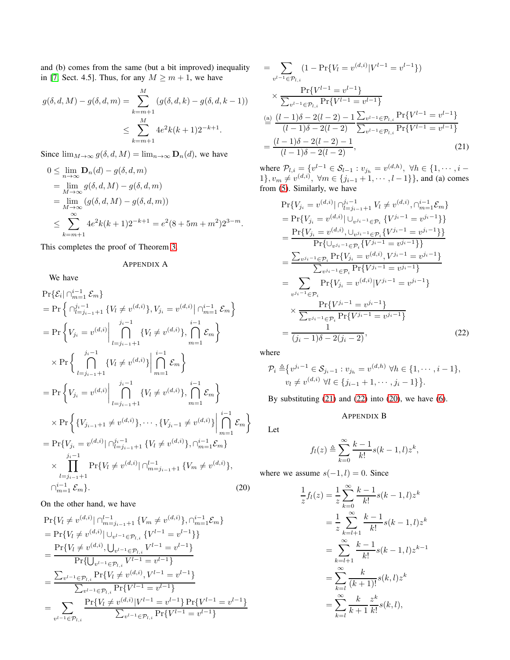and (b) comes from the same (but a bit improved) inequality in [\[7,](#page-13-6) Sect. 4.5]. Thus, for any  $M \ge m + 1$ , we have

$$
g(\delta, d, M) - g(\delta, d, m) = \sum_{k=m+1}^{M} (g(\delta, d, k) - g(\delta, d, k - 1))
$$
  

$$
\leq \sum_{k=m+1}^{M} 4e^2 k(k+1) 2^{-k+1}.
$$

Since  $\lim_{M\to\infty} g(\delta, d, M) = \lim_{n\to\infty} \mathbf{D}_n(d)$ , we have

$$
0 \le \lim_{n \to \infty} \mathbf{D}_n(d) - g(\delta, d, m)
$$
  
= 
$$
\lim_{M \to \infty} g(\delta, d, M) - g(\delta, d, m)
$$
  
= 
$$
\lim_{M \to \infty} (g(\delta, d, M) - g(\delta, d, m))
$$
  

$$
\le \sum_{k=m+1}^{\infty} 4e^2k(k+1)2^{-k+1} = e^2(8+5m+m^2)2^{3-m}.
$$

This completes the proof of Theorem [3.](#page-1-1)

### <span id="page-8-0"></span>APPENDIX A

We have

$$
\Pr\{\mathcal{E}_{i} | \bigcap_{m=1}^{i-1} \mathcal{E}_{m}\}\n= \Pr\left\{\bigcap_{l=j_{i-1}+1}^{j-1} \{V_{l} \neq v^{(d,i)}\}, V_{j_{i}} = v^{(d,i)} \big| \bigcap_{m=1}^{i-1} \mathcal{E}_{m}\right\}\n= \Pr\left\{V_{j_{i}} = v^{(d,i)} \bigg| \bigcap_{l=j_{i-1}+1}^{j_{i-1}} \{V_{l} \neq v^{(d,i)}\}, \bigcap_{m=1}^{i-1} \mathcal{E}_{m}\right\}\n\times \Pr\left\{\bigcap_{l=j_{i-1}+1}^{j_{i-1}} \{V_{l} \neq v^{(d,i)}\} \bigg| \bigcap_{m=1}^{i-1} \mathcal{E}_{m}\right\}\n= \Pr\left\{V_{j_{i}} = v^{(d,i)} \bigg| \bigcap_{l=j_{i-1}+1}^{j_{i-1}} \{V_{l} \neq v^{(d,i)}\}, \bigcap_{m=1}^{i-1} \mathcal{E}_{m}\right\}\n\times \Pr\left\{\{V_{j_{i-1}+1} \neq v^{(d,i)}\}, \dots, \{V_{j_{i-1}} \neq v^{(d,i)}\} \bigg| \bigcap_{m=1}^{i-1} \mathcal{E}_{m}\right\}\n= \Pr\{V_{j_{i}} = v^{(d,i)} \big| \bigcap_{l=j_{i-1}+1}^{j_{i-1}} \{V_{l} \neq v^{(d,i)}\}, \bigcap_{m=1}^{i-1} \mathcal{E}_{m}\n\times \prod_{l=j_{i-1}+1}^{j_{i-1}} \Pr\{V_{l} \neq v^{(d,i)} \big| \bigcap_{m=j_{i-1}+1}^{l-1} \{V_{m} \neq v^{(d,i)}\},\n\cap_{m=1}^{i-1} \mathcal{E}_{m}\n\times \prod_{l=j_{i-1}+1}^{j_{i-1}} \Pr\{V_{l} \neq v^{(d,i)} \big| \bigcap_{m=j_{i-1}+1}^{l-1} \{V_{m} \neq v^{(d,i)}\},\n\tag{20}
$$

On the other hand, we have

$$
Pr{Vi \neq v(d,i) | \bigcap_{m=j_{i-1}+1}^{l-1} \{V_m \neq v(d,i)\}, \bigcap_{m=1}^{i-1} \mathcal{E}_m \}
$$
  
= 
$$
Pr{Vi \neq v(d,i) | \bigcup_{v^{l-1} \in \mathcal{P}_{l,i}} \{V^{l-1} = v^{l-1}\}\}
$$
  
= 
$$
\frac{Pr{Vi \neq v(d,i), \bigcup_{v^{l-1} \in \mathcal{P}_{l,i}} V^{l-1} = v^{l-1}\}}{Pr{Uv^{l-1} \in \mathcal{P}_{l,i}} V^{l-1} = v^{l-1}\}}
$$
  
= 
$$
\frac{\sum_{v^{l-1} \in \mathcal{P}_{l,i}} Pr{Vi \neq v(d,i), V^{l-1} = v^{l-1}\}}{\sum_{v^{l-1} \in \mathcal{P}_{l,i}} Pr{Vl-1 = v^{l-1}\}}
$$
  
= 
$$
\sum_{v^{l-1} \in \mathcal{P}_{l,i}} \frac{Pr{Vi \neq v(d,i) | Vl-1 = v^{l-1} \} Pr{Vl-1 = v^{l-1}\}}
$$
  
= 
$$
\sum_{v^{l-1} \in \mathcal{P}_{l,i}} \frac{Pr{Vi \neq v(d,i) | Vl-1 = v^{l-1} \} Pr{Vl-1 = v^{l-1}\}}
$$

$$
= \sum_{v^{l-1} \in \mathcal{P}_{l,i}} (1 - \Pr\{V_l = v^{(d,i)} | V^{l-1} = v^{l-1}\})
$$
  
 
$$
\times \frac{\Pr\{V^{l-1} = v^{l-1}\}}{\sum_{v^{l-1} \in \mathcal{P}_{l,i}} \Pr\{V^{l-1} = v^{l-1}\}}
$$
  
\n
$$
\stackrel{\text{(a)}}{=} \frac{(l-1)\delta - 2(l-2) - 1}{(l-1)\delta - 2(l-2)} \frac{\sum_{v^{l-1} \in \mathcal{P}_{l,i}} \Pr\{V^{l-1} = v^{l-1}\}}{\sum_{v^{l-1} \in \mathcal{P}_{l,i}} \Pr\{V^{l-1} = v^{l-1}\}}
$$
  
\n
$$
= \frac{(l-1)\delta - 2(l-2) - 1}{(l-1)\delta - 2(l-2)}, \tag{21}
$$

where  $P_{l,i} = \{v^{l-1} \in S_{l-1} : v_{j_h} = v^{(d,h)}, \forall h \in \{1, \cdots, i-1\}$  $1\}$ ,  $v_m \neq v^{(d,i)}$ ,  $\forall m \in \{j_{i-1}+1, \cdots, l-1\}\}$ , and (a) comes from [\(5\)](#page-3-2). Similarly, we have

<span id="page-8-2"></span>
$$
\Pr\{V_{ji} = v^{(d,i)} | \bigcap_{l=j_{i-1}+1}^{j_{i-1}} V_l \neq v^{(d,i)}, \bigcap_{m=1}^{i-1} \mathcal{E}_m\}
$$
\n
$$
= \Pr\{V_{j_i} = v^{(d,i)} | \bigcup_{v^{j_i-1} \in \mathcal{P}_i} \{V^{j_i-1} = v^{j_i-1}\}\}
$$
\n
$$
= \frac{\Pr\{V_{j_i} = v^{(d,i)}, \bigcup_{v^{j_i-1} \in \mathcal{P}_i} \{V^{j_i-1} = v^{j_i-1}\}\}}{\Pr\{\bigcup_{v^{j_i-1} \in \mathcal{P}_i} \{V^{j_i-1} = v^{j_i-1}\}\}}
$$
\n
$$
= \frac{\sum_{v^{j_i-1} \in \mathcal{P}_i} \Pr\{V_{j_i} = v^{(d,i)}, V^{j_i-1} = v^{j_i-1}\}}{\sum_{v^{j_i-1} \in \mathcal{P}_i} \Pr\{V^{j_i-1} = v^{j_i-1}\}}
$$
\n
$$
= \sum_{v^{j_i-1} \in \mathcal{P}_i} \Pr\{V_{j_i} = v^{(d,i)} | V^{j_i-1} = v^{j_i-1}\}
$$
\n
$$
\times \frac{\Pr\{V^{j_i-1} = v^{j_i-1}\}}{\sum_{v^{j_i-1} \in \mathcal{P}_i} \Pr\{V^{j_i-1} = v^{j_i-1}\}}
$$
\n
$$
= \frac{1}{(j_i-1)\delta - 2(j_i-2)}, \tag{22}
$$

where

$$
\mathcal{P}_i \triangleq \{v^{j_i-1} \in \mathcal{S}_{j_i-1} : v_{j_h} = v^{(d,h)} \; \forall h \in \{1, \cdots, i-1\},
$$
  

$$
v_l \neq v^{(d,i)} \; \forall l \in \{j_{i-1}+1, \cdots, j_i-1\} \}.
$$

By substituting  $(21)$  and  $(22)$  into  $(20)$ , we have  $(6)$ .

<span id="page-8-3"></span><span id="page-8-1"></span>APPENDIX B

Let

$$
f_l(z) \triangleq \sum_{k=0}^{\infty} \frac{k-1}{k!} s(k-1,l) z^k,
$$

<span id="page-8-4"></span>where we assume  $s(-1, l) = 0$ . Since

$$
\frac{1}{z}f_l(z) = \frac{1}{z} \sum_{k=0}^{\infty} \frac{k-1}{k!} s(k-1,l) z^k
$$

$$
= \frac{1}{z} \sum_{k=l+1}^{\infty} \frac{k-1}{k!} s(k-1,l) z^k
$$

$$
= \sum_{k=l+1}^{\infty} \frac{k-1}{k!} s(k-1,l) z^{k-1}
$$

$$
= \sum_{k=l}^{\infty} \frac{k}{(k+1)!} s(k,l) z^k
$$

$$
= \sum_{k=l}^{\infty} \frac{k}{k+1} \frac{z^k}{k!} s(k,l),
$$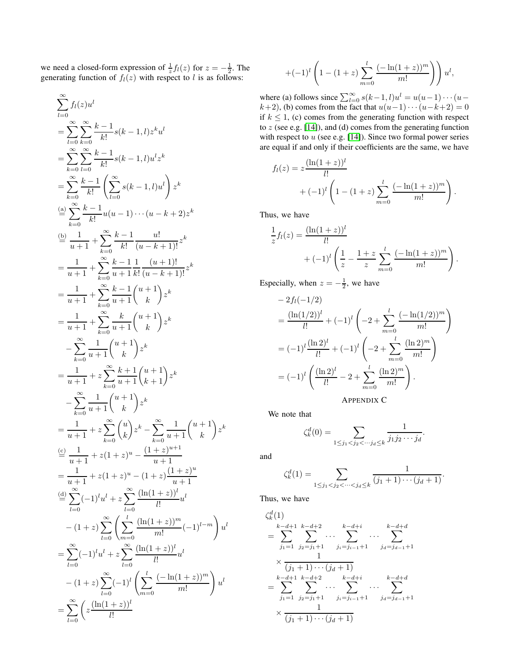we need a closed-form expression of  $\frac{1}{z}f_l(z)$  for  $z = -\frac{1}{2}$ . The generating function of  $f_l(z)$  with respect to l is as follows:

$$
\sum_{l=0}^{\infty} f_l(z)u^l
$$
\n
$$
= \sum_{l=0}^{\infty} \sum_{k=0}^{\infty} \frac{k-1}{k!} s(k-1,l) z^k u^l
$$
\n
$$
= \sum_{k=0}^{\infty} \sum_{l=0}^{\infty} \frac{k-1}{k!} s(k-1,l) u^l z^k
$$
\n
$$
= \sum_{k=0}^{\infty} \sum_{l=0}^{\infty} \frac{k-1}{k!} \left( \sum_{l=0}^{\infty} s(k-1,l) u^l \right) z^k
$$
\n
$$
= \sum_{k=0}^{\infty} \frac{k-1}{k!} u(u-1) \cdots (u-k+2) z^k
$$
\n
$$
= \frac{1}{u+1} + \sum_{k=0}^{\infty} \frac{k-1}{u+1} \frac{u!}{(u-k+1)!} z^k
$$
\n
$$
= \frac{1}{u+1} + \sum_{k=0}^{\infty} \frac{k-1}{u+1} \frac{1}{k!} \frac{(u+1)!}{(u-k+1)!} z^k
$$
\n
$$
= \frac{1}{u+1} + \sum_{k=0}^{\infty} \frac{k-1}{u+1} {u+1 \choose k} z^k
$$
\n
$$
= \frac{1}{u+1} + \sum_{k=0}^{\infty} \frac{k}{u+1} {u+1 \choose k} z^k
$$
\n
$$
- \sum_{k=0}^{\infty} \frac{1}{u+1} {u+1 \choose k} z^k
$$
\n
$$
= \sum_{k=0}^{\infty} \frac{1}{u+1} {u+1 \choose k} z^k
$$
\n
$$
= \sum_{k=0}^{\infty} \frac{1}{u+1} {u+1 \choose k} z^k
$$
\n
$$
= \frac{1}{u+1} + z \sum_{k=0}^{\infty} {u \choose k} z^k - \sum_{k=0}^{\infty} \frac{1}{u+1} {u+1 \choose k} z^k
$$
\n
$$
= \frac{1}{u+1} + z(1+z)^u - \frac{(1+z)^{u+1}}{u+1}
$$
\n
$$
= \frac{1}{u+1} + z(1
$$

$$
+(-1)^{l}\left(1-(1+z)\sum_{m=0}^{l}\frac{(-\ln(1+z))^{m}}{m!}\right)u^{l},
$$

where (a) follows since  $\sum_{l=0}^{\infty} s(k-1, l)u^{l} = u(u-1)\cdots(u-1)$  $(k+2)$ , (b) comes from the fact that  $u(u-1)\cdots(u-k+2) = 0$ if  $k \leq 1$ , (c) comes from the generating function with respect to  $z$  (see e.g. [\[14\]](#page-14-1)), and (d) comes from the generating function with respect to  $u$  (see e.g. [\[14\]](#page-14-1)). Since two formal power series are equal if and only if their coefficients are the same, we have

$$
f_l(z) = z \frac{(\ln(1+z))^l}{l!} + (-1)^l \left(1 - (1+z) \sum_{m=0}^l \frac{(-\ln(1+z))^m}{m!} \right).
$$

Thus, we have

$$
\frac{1}{z}f_l(z) = \frac{(\ln(1+z))^l}{l!} + (-1)^l \left(\frac{1}{z} - \frac{1+z}{z} \sum_{m=0}^l \frac{(-\ln(1+z))^m}{m!}\right).
$$

Especially, when  $z = -\frac{1}{2}$ , we have

$$
- 2f_l(-1/2)
$$
  
=  $\frac{(\ln(1/2))^l}{l!} + (-1)^l \left( -2 + \sum_{m=0}^l \frac{(-\ln(1/2))^m}{m!} \right)$   
=  $(-1)^l \frac{(\ln 2)^l}{l!} + (-1)^l \left( -2 + \sum_{m=0}^l \frac{(\ln 2)^m}{m!} \right)$   
=  $(-1)^l \left( \frac{(\ln 2)^l}{l!} - 2 + \sum_{m=0}^l \frac{(\ln 2)^m}{m!} \right)$ .  
APPENDIX C

We note that

<span id="page-9-0"></span>
$$
\zeta_k^d(0) = \sum_{1 \le j_1 < j_2 < \cdots j_d \le k} \frac{1}{j_1 j_2 \cdots j_d}.
$$

and

$$
\zeta_k^d(1) = \sum_{1 \le j_1 < j_2 < \dots < j_d \le k} \frac{1}{(j_1 + 1) \cdots (j_d + 1)}.
$$

Thus, we have

$$
\zeta_k^d(1)
$$
\n
$$
= \sum_{j_1=1}^{k-d+1} \sum_{j_2=j_1+1}^{k-d+2} \cdots \sum_{j_i=j_{i-1}+1}^{k-d+i} \cdots \sum_{j_d=j_{d-1}+1}^{k-d+d}
$$
\n
$$
\times \frac{1}{(j_1+1)\cdots(j_d+1)}
$$
\n
$$
= \sum_{j_1=1}^{k-d+1} \sum_{j_2=j_1+1}^{k-d+2} \cdots \sum_{j_i=j_{i-1}+1}^{k-d+i} \cdots \sum_{j_d=j_{d-1}+1}^{k-d+d}
$$
\n
$$
\times \frac{1}{(j_1+1)\cdots(j_d+1)}
$$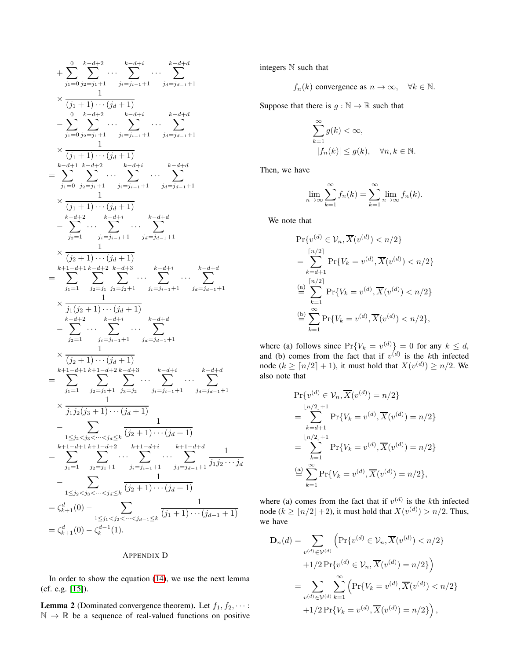$$
+\sum_{j_1=0}^{0}\sum_{j_2=j_1+1}^{k-d+2} \cdots \sum_{j_i=j_{i-1}+1}^{k-d+i} \cdots \sum_{j_d=j_{d-1}+1}^{k-d+d} \times \frac{(-1)^{k-d+2}}{(j_1+1)\cdots(j_d+1)} \\-\sum_{j_1=0}^{0}\sum_{j_2=j_1+1}^{k-d+2} \cdots \sum_{j_i=j_{i-1}+1}^{k-d+i} \cdots \sum_{j_d=j_{d-1}+1}^{k-d+d} \\-\sum_{j_1=0}^{k-d+1}\sum_{j_2=j_1+1}^{k-d+2} \cdots \sum_{j_i=0}^{k-d+i} \cdots \sum_{j_1=0}^{k-d+d} \\-\sum_{j_1=0}^{k-d+1}\sum_{j_2=j_1+1}^{k-d+2} \cdots \sum_{j_i=j_{i-1}+1}^{k-d+i} \cdots \sum_{j_d=j_{d-1}+1}^{k-d+d} \\-\sum_{j_2=1}^{k-d+2} \cdots \sum_{j_i=j_{i-1}+1}^{k-d+i} \cdots \sum_{j_d=j_d-1}^{k-d+d} \\-\sum_{j_1=1}^{k-d+2} \sum_{j_2=j_1}^{k-d+2} \sum_{j_3=j_2+1}^{k-d+3} \cdots \sum_{j_i=j_{i-1}+1}^{k-d+d} \\-\sum_{j_1=1}^{k-d+2} \sum_{j_2=j_1}^{k-d+i} \cdots \sum_{j_2=1}^{k-d+i} \cdots \sum_{j_i=j_{i-1}+1}^{k-d+d} \\-\sum_{j_2=1}^{k-d+2} \cdots \sum_{j_i=j_{i-1}+1}^{k-d+i} \sum_{j_d=j_{d-1}+1}^{k-d+d} \\-\sum_{j_1=1}^{k+d+2} \sum_{j_2=j_1+1}^{k-d+i} \cdots \sum_{j_d=j_{d-1}+1}^{k-d+d} \\-\sum_{j_1=1}^{k+1-d+1} \sum_{j_2=j_1+1}^{k-d+i} \sum_{j_3=j_2}^{k-d+i} \cdots \sum_{j_d=j_{d-1}+1}^{k-d+d} \\-\sum_{j_1=1}^{k+1-d+1} \sum_{j_2=j_1+1}^{k-d+2} \sum_{j_i=j_{i-1}+1}^{k+d+i} \cdots \
$$

## <span id="page-10-0"></span>APPENDIX D

In order to show the equation [\(14\)](#page-6-0), we use the next lemma (cf. e.g. [\[15\]](#page-14-2)).

<span id="page-10-1"></span>**Lemma 2** (Dominated convergence theorem). Let  $f_1, f_2, \cdots$ :  $\mathbb{N} \to \mathbb{R}$  be a sequence of real-valued functions on positive integers N such that

$$
f_n(k)
$$
 convergence as  $n \to \infty$ ,  $\forall k \in \mathbb{N}$ .

Suppose that there is  $g : \mathbb{N} \to \mathbb{R}$  such that

$$
\begin{aligned} &\sum_{k=1}^{\infty}g(k)<\infty,\\ &|f_n(k)|\leq g(k),\quad \forall n,k\in\mathbb{N}. \end{aligned}
$$

Then, we have

$$
\lim_{n \to \infty} \sum_{k=1}^{\infty} f_n(k) = \sum_{k=1}^{\infty} \lim_{n \to \infty} f_n(k).
$$

We note that

$$
\Pr\{v^{(d)} \in \mathcal{V}_n, \overline{X}(v^{(d)}) < n/2\}
$$
\n
$$
= \sum_{k=d+1}^{\lceil n/2 \rceil} \Pr\{V_k = v^{(d)}, \overline{X}(v^{(d)}) < n/2\}
$$
\n
$$
\stackrel{\text{(a)}}{=} \sum_{k=1}^{\lceil n/2 \rceil} \Pr\{V_k = v^{(d)}, \overline{X}(v^{(d)}) < n/2\}
$$
\n
$$
\stackrel{\text{(b)}}{=} \sum_{k=1}^{\infty} \Pr\{V_k = v^{(d)}, \overline{X}(v^{(d)}) < n/2\},
$$

where (a) follows since  $Pr{V_k = v^{(d)}\} = 0$  for any  $k \le d$ , and (b) comes from the fact that if  $v^{(d)}$  is the kth infected node  $(k \geq \lceil n/2 \rceil + 1)$ , it must hold that  $X(v^{(d)}) \geq n/2$ . We also note that

$$
\Pr\{v^{(d)} \in \mathcal{V}_n, \overline{X}(v^{(d)}) = n/2\}
$$
\n
$$
= \sum_{k=d+1}^{\lfloor n/2 \rfloor + 1} \Pr\{V_k = v^{(d)}, \overline{X}(v^{(d)}) = n/2\}
$$
\n
$$
= \sum_{k=1}^{\lfloor n/2 \rfloor + 1} \Pr\{V_k = v^{(d)}, \overline{X}(v^{(d)}) = n/2\}
$$
\n
$$
\stackrel{\text{(a)}}{=} \sum_{k=1}^{\infty} \Pr\{V_k = v^{(d)}, \overline{X}(v^{(d)}) = n/2\},
$$

where (a) comes from the fact that if  $v^{(d)}$  is the kth infected node ( $k \geq \lfloor n/2 \rfloor + 2$ ), it must hold that  $X(v^{(d)}) > n/2$ . Thus, we have

$$
\mathbf{D}_{n}(d) = \sum_{v^{(d)} \in \mathcal{V}^{(d)}} \left( \Pr\{v^{(d)} \in \mathcal{V}_{n}, \overline{X}(v^{(d)}) < n/2\} \right. \\
 \left. + 1/2 \Pr\{v^{(d)} \in \mathcal{V}_{n}, \overline{X}(v^{(d)}) = n/2\} \right) \\
= \sum_{v^{(d)} \in \mathcal{V}^{(d)}} \sum_{k=1}^{\infty} \left( \Pr\{V_{k} = v^{(d)}, \overline{X}(v^{(d)}) < n/2\} \right. \\
 \left. + 1/2 \Pr\{V_{k} = v^{(d)}, \overline{X}(v^{(d)}) = n/2\} \right),
$$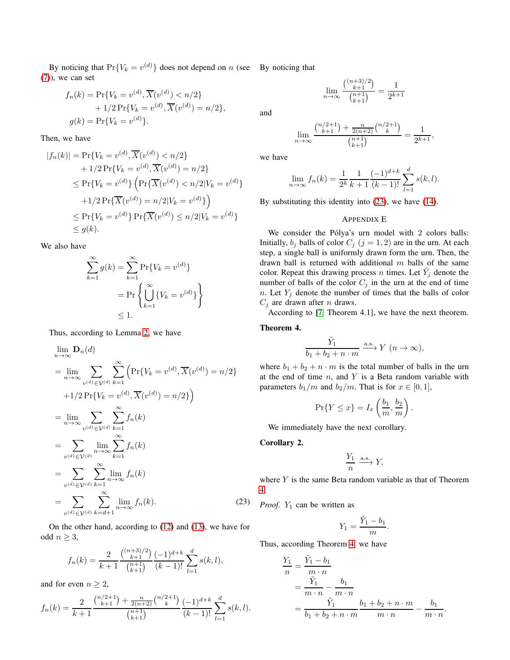By noticing that  $Pr{V_k = v^{(d)}\}$  does not depend on n (see By noticing that [\(7\)](#page-4-0)), we can set

$$
f_n(k) = \Pr\{V_k = v^{(d)}, \overline{X}(v^{(d)}) < n/2\} \\
+ 1/2 \Pr\{V_k = v^{(d)}, \overline{X}(v^{(d)}) = n/2\}, \\
g(k) = \Pr\{V_k = v^{(d)}\}.
$$

Then, we have

$$
|f_n(k)| = \Pr\{V_k = v^{(d)}, \overline{X}(v^{(d)}) < n/2\}
$$
\n
$$
+ 1/2 \Pr\{V_k = v^{(d)}, \overline{X}(v^{(d)}) = n/2\}
$$
\n
$$
\leq \Pr\{V_k = v^{(d)}\} \left(\Pr\{\overline{X}(v^{(d)}) < n/2|V_k = v^{(d)}\} + 1/2 \Pr\{\overline{X}(v^{(d)}) = n/2|V_k = v^{(d)}\}\right)
$$
\n
$$
\leq \Pr\{V_k = v^{(d)}\} \Pr\{\overline{X}(v^{(d)}) \leq n/2|V_k = v^{(d)}\}
$$
\n
$$
\leq g(k).
$$

We also have

$$
\sum_{k=1}^{\infty} g(k) = \sum_{k=1}^{\infty} \Pr\{V_k = v^{(d)}\}
$$

$$
= \Pr\left\{\bigcup_{k=1}^{\infty} \{V_k = v^{(d)}\}\right\}
$$

$$
\leq 1.
$$

Thus, according to Lemma [2,](#page-10-1) we have

$$
\lim_{n \to \infty} \mathbf{D}_n(d)
$$
\n
$$
= \lim_{n \to \infty} \sum_{v^{(d)} \in \mathcal{V}^{(d)}} \sum_{k=1}^{\infty} \left( \Pr\{V_k = v^{(d)}, \overline{X}(v^{(d)}) = n/2 \} + 1/2 \Pr\{V_k = v^{(d)}, \overline{X}(v^{(d)}) = n/2 \} \right)
$$
\n
$$
= \lim_{n \to \infty} \sum_{v^{(d)} \in \mathcal{V}^{(d)}} \sum_{k=1}^{\infty} f_n(k)
$$
\n
$$
= \sum_{v^{(d)} \in \mathcal{V}^{(d)}} \lim_{k=1}^{\infty} \sum_{n \to \infty}^{\infty} f_n(k)
$$
\n
$$
= \sum_{v^{(d)} \in \mathcal{V}^{(d)}} \sum_{k=1}^{\infty} \lim_{n \to \infty} f_n(k)
$$
\n
$$
= \sum_{v^{(d)} \in \mathcal{V}^{(d)}} \sum_{k=d+1}^{\infty} \lim_{n \to \infty} f_n(k).
$$
\n(23)

On the other hand, according to [\(12\)](#page-6-1) and [\(13\)](#page-6-2), we have for odd  $n \geq 3$ ,

$$
f_n(k) = \frac{2}{k+1} \frac{\binom{(n+3)/2}{k+1}}{\binom{n+1}{k+1}} \frac{(-1)^{d+k}}{(k-1)!} \sum_{l=1}^d s(k,l),
$$

and for even  $n \geq 2$ ,

$$
f_n(k) = \frac{2}{k+1} \frac{\binom{n/2+1}{k+1} + \frac{n}{2(n+2)} \binom{n/2+1}{k}}{\binom{n+1}{k+1}} \frac{(-1)^{d+k}}{(k-1)!} \sum_{l=1}^d s(k, l).
$$

$$
\lim_{n \to \infty} \frac{\binom{(n+3)/2}{k+1}}{\binom{n+1}{k+1}} = \frac{1}{2^{k+1}}
$$

and

$$
\lim_{n \to \infty} \frac{\binom{n/2+1}{k+1} + \frac{n}{2(n+2)} \binom{n/2+1}{k}}{\binom{n+1}{k+1}} = \frac{1}{2^{k+1}},
$$

we have

$$
\lim_{n \to \infty} f_n(k) = \frac{1}{2^k} \frac{1}{k+1} \frac{(-1)^{d+k}}{(k-1)!} \sum_{l=1}^d s(k, l).
$$

By substituting this identity into [\(23\)](#page-11-1), we have [\(14\)](#page-6-0).

#### <span id="page-11-0"></span>APPENDIX E

We consider the Pólya's urn model with 2 colors balls: Initially,  $b_j$  balls of color  $C_j$   $(j = 1, 2)$  are in the urn. At each step, a single ball is uniformly drawn form the urn. Then, the drawn ball is returned with additional  $m$  balls of the same color. Repeat this drawing process n times. Let  $\tilde{Y}_j$  denote the number of balls of the color  $C_j$  in the urn at the end of time n. Let  $Y_j$  denote the number of times that the balls of color  $C_i$  are drawn after *n* draws.

According to [\[7,](#page-13-6) Theorem 4.1], we have the next theorem.

# <span id="page-11-2"></span>Theorem 4.

$$
\frac{\tilde{Y}_1}{b_1 + b_2 + n \cdot m} \xrightarrow{\text{a.s.}} Y \ (n \to \infty),
$$

where  $b_1 + b_2 + n \cdot m$  is the total number of balls in the urn at the end of time  $n$ , and  $Y$  is a Beta random variable with parameters  $b_1/m$  and  $b_2/m$ . That is for  $x \in [0,1]$ ,

$$
\Pr\{Y \le x\} = I_x\left(\frac{b_1}{m}, \frac{b_2}{m}\right).
$$

We immediately have the next corollary.

<span id="page-11-3"></span>Corollary 2.

$$
\frac{Y_1}{n} \xrightarrow{\text{a.s.}} Y,
$$

where Y is the same Beta random variable as that of Theorem [4.](#page-11-2)

<span id="page-11-1"></span>*Proof.*  $Y_1$  can be written as

$$
Y_1 = \frac{\tilde{Y}_1 - b_1}{m}
$$

.

.

Thus, according Theorem [4,](#page-11-2) we have

$$
\frac{Y_1}{n} = \frac{\tilde{Y}_1 - b_1}{m \cdot n}
$$
  
= 
$$
\frac{\tilde{Y}_1}{m \cdot n} - \frac{b_1}{m \cdot n}
$$
  
= 
$$
\frac{\tilde{Y}_1}{b_1 + b_2 + n \cdot m} - \frac{b_1}{m \cdot n} - \frac{b_1}{m \cdot n}
$$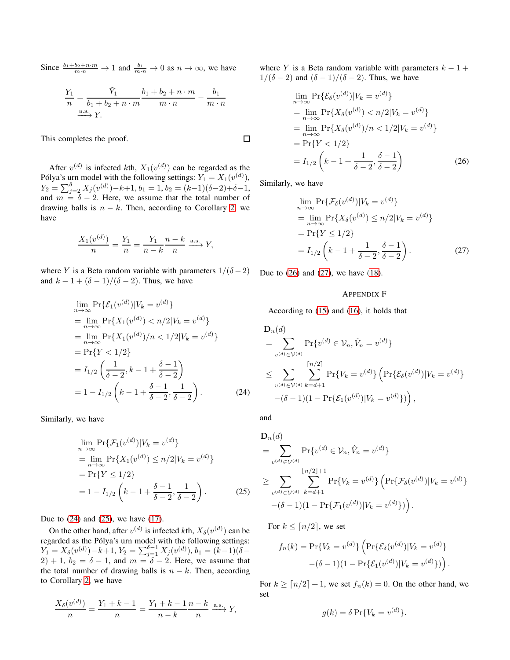Since  $\frac{b_1+b_2+n\cdot m}{m\cdot n} \to 1$  and  $\frac{b_1}{m\cdot n} \to 0$  as  $n \to \infty$ , we have

$$
\frac{Y_1}{n} = \frac{\tilde{Y}_1}{b_1 + b_2 + n \cdot m} \cdot \frac{b_1 + b_2 + n \cdot m}{m \cdot n} - \frac{b_1}{m \cdot n}
$$

$$
\xrightarrow{\text{a.s.}} Y.
$$

This completes the proof.

After  $v^{(d)}$  is infected kth,  $X_1(v^{(d)})$  can be regarded as the Pólya's urn model with the following settings:  $Y_1 = X_1(v^{(d)})$ ,  $Y_2 = \sum_{j=2}^{\delta} X_j(v^{(d)}) - k + 1, b_1 = 1, b_2 = (k-1)(\delta-2) + \delta - 1,$ and  $m = \delta - 2$ . Here, we assume that the total number of drawing balls is  $n - k$ . Then, according to Corollary [2,](#page-11-3) we have

$$
\frac{X_1(v^{(d)})}{n} = \frac{Y_1}{n} = \frac{Y_1}{n-k} \frac{n-k}{n} \xrightarrow{\text{a.s.}} Y,
$$

where Y is a Beta random variable with parameters  $1/(\delta - 2)$ and  $k - 1 + (\delta - 1)/(\delta - 2)$ . Thus, we have

$$
\lim_{n \to \infty} \Pr \{ \mathcal{E}_1(v^{(d)}) | V_k = v^{(d)} \}
$$
\n
$$
= \lim_{n \to \infty} \Pr \{ X_1(v^{(d)}) < n/2 | V_k = v^{(d)} \}
$$
\n
$$
= \lim_{n \to \infty} \Pr \{ X_1(v^{(d)}) / n < 1/2 | V_k = v^{(d)} \}
$$
\n
$$
= \Pr \{ Y < 1/2 \}
$$
\n
$$
= I_{1/2} \left( \frac{1}{\delta - 2}, k - 1 + \frac{\delta - 1}{\delta - 2} \right)
$$
\n
$$
= 1 - I_{1/2} \left( k - 1 + \frac{\delta - 1}{\delta - 2}, \frac{1}{\delta - 2} \right). \tag{24}
$$

Similarly, we have

$$
\lim_{n \to \infty} \Pr \{ \mathcal{F}_1(v^{(d)}) | V_k = v^{(d)} \}
$$
\n
$$
= \lim_{n \to \infty} \Pr \{ X_1(v^{(d)}) \le n/2 | V_k = v^{(d)} \}
$$
\n
$$
= \Pr \{ Y \le 1/2 \}
$$
\n
$$
= 1 - I_{1/2} \left( k - 1 + \frac{\delta - 1}{\delta - 2}, \frac{1}{\delta - 2} \right). \tag{25}
$$

Due to [\(24\)](#page-12-1) and [\(25\)](#page-12-2), we have [\(17\)](#page-7-3).

On the other hand, after  $v^{(d)}$  is infected kth,  $X_{\delta}(v^{(d)})$  can be regarded as the Pólya's urn model with the following settings:  $Y_1 = X_{\delta}(v^{(d)}) - k + 1, Y_2 = \sum_{j=1}^{\delta-1} X_j(v^{(d)}), b_1 = (k-1)(\delta-1)$  $2) + 1$ ,  $b_2 = \delta - 1$ , and  $m = \delta - 2$ . Here, we assume that the total number of drawing balls is  $n - k$ . Then, according to Corollary [2,](#page-11-3) we have

$$
\frac{X_{\delta}(v^{(d)})}{n} = \frac{Y_1 + k - 1}{n} = \frac{Y_1 + k - 1}{n - k} \frac{n - k}{n} \xrightarrow{\text{a.s.}} Y,
$$

where Y is a Beta random variable with parameters  $k - 1 +$  $1/(\delta - 2)$  and  $(\delta - 1)/(\delta - 2)$ . Thus, we have

$$
\lim_{n \to \infty} \Pr{\mathcal{E}_{\delta}(v^{(d)}) | V_k = v^{(d)} } \n= \lim_{n \to \infty} \Pr{X_{\delta}(v^{(d)}) < n/2 | V_k = v^{(d)} } \n= \lim_{n \to \infty} \Pr{X_{\delta}(v^{(d)}) / n < 1/2 | V_k = v^{(d)} } \n= \Pr{Y < 1/2} \n= I_{1/2} \left( k - 1 + \frac{1}{\delta - 2}, \frac{\delta - 1}{\delta - 2} \right)
$$
\n(26)

Similarly, we have

 $\Box$ 

<span id="page-12-3"></span>
$$
\lim_{n \to \infty} \Pr \{ \mathcal{F}_{\delta}(v^{(d)}) | V_k = v^{(d)} \}
$$
\n
$$
= \lim_{n \to \infty} \Pr \{ X_{\delta}(v^{(d)}) \le n/2 | V_k = v^{(d)} \}
$$
\n
$$
= \Pr \{ Y \le 1/2 \}
$$
\n
$$
= I_{1/2} \left( k - 1 + \frac{1}{\delta - 2}, \frac{\delta - 1}{\delta - 2} \right). \tag{27}
$$

Due to [\(26\)](#page-12-3) and [\(27\)](#page-12-4), we have [\(18\)](#page-7-4).

#### <span id="page-12-4"></span><span id="page-12-0"></span>APPENDIX F

According to [\(15\)](#page-7-0) and [\(16\)](#page-7-1), it holds that

$$
\mathbf{D}_{n}(d)
$$
\n
$$
= \sum_{v^{(d)} \in \mathcal{V}^{(d)}} \Pr\{v^{(d)} \in \mathcal{V}_{n}, \hat{V}_{n} = v^{(d)}\}
$$
\n
$$
\leq \sum_{v^{(d)} \in \mathcal{V}^{(d)}} \sum_{k=d+1}^{\lceil n/2 \rceil} \Pr\{V_{k} = v^{(d)}\} \left(\Pr\{\mathcal{E}_{\delta}(v^{(d)}) | V_{k} = v^{(d)}\} - (\delta - 1)(1 - \Pr\{\mathcal{E}_{1}(v^{(d)}) | V_{k} = v^{(d)}\})\right),
$$

<span id="page-12-1"></span>and

$$
\mathbf{D}_{n}(d)
$$
\n
$$
= \sum_{v^{(d)} \in \mathcal{V}^{(d)}} \Pr\{v^{(d)} \in \mathcal{V}_{n}, \hat{V}_{n} = v^{(d)}\}
$$
\n
$$
\geq \sum_{v^{(d)} \in \mathcal{V}^{(d)}} \sum_{k=d+1}^{\lfloor n/2 \rfloor + 1} \Pr\{V_{k} = v^{(d)}\} \left(\Pr\{\mathcal{F}_{\delta}(v^{(d)}) | V_{k} = v^{(d)}\}\right)
$$
\n
$$
-(\delta - 1)(1 - \Pr\{\mathcal{F}_{1}(v^{(d)}) | V_{k} = v^{(d)}\})\right).
$$

<span id="page-12-2"></span>For  $k \leq \lceil n/2 \rceil$ , we set

$$
f_n(k) = \Pr\{V_k = v^{(d)}\} \left( \Pr\{ \mathcal{E}_{\delta}(v^{(d)}) | V_k = v^{(d)} \} - (\delta - 1)(1 - \Pr\{ \mathcal{E}_1(v^{(d)}) | V_k = v^{(d)} \}) \right).
$$

For  $k \geq \lfloor n/2 \rfloor + 1$ , we set  $f_n(k) = 0$ . On the other hand, we set

$$
g(k) = \delta \Pr{V_k = v^{(d)} }.
$$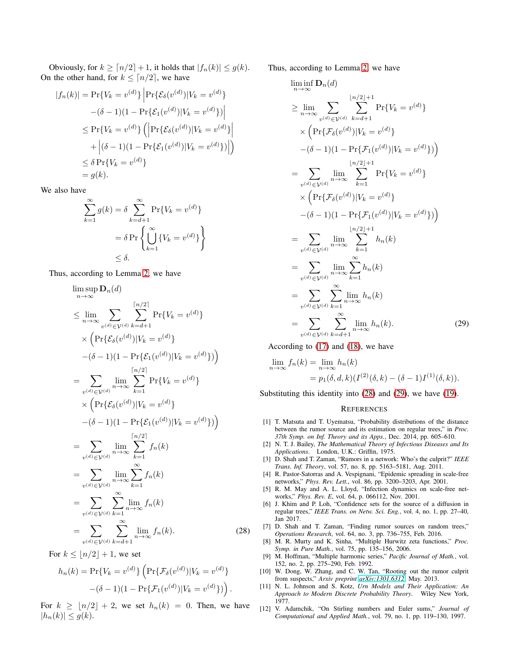Obviously, for  $k \geq \lceil n/2 \rceil + 1$ , it holds that  $|f_n(k)| \leq g(k)$ . On the other hand, for  $k \leq \lceil n/2 \rceil$ , we have

$$
|f_n(k)| = \Pr\{V_k = v^{(d)}\} \left| \Pr\{\mathcal{E}_{\delta}(v^{(d)}) | V_k = v^{(d)}\}\right|
$$
  

$$
- (\delta - 1)(1 - \Pr\{\mathcal{E}_1(v^{(d)}) | V_k = v^{(d)}\}) \right|
$$
  

$$
\leq \Pr\{V_k = v^{(d)}\} \left( \left| \Pr\{\mathcal{E}_{\delta}(v^{(d)}) | V_k = v^{(d)}\}\right|
$$
  

$$
+ \left| (\delta - 1)(1 - \Pr\{\mathcal{E}_1(v^{(d)}) | V_k = v^{(d)}\}) \right| \right)
$$
  

$$
\leq \delta \Pr\{V_k = v^{(d)}\}
$$
  

$$
= g(k).
$$

We also have

$$
\sum_{k=1}^{\infty} g(k) = \delta \sum_{k=d+1}^{\infty} \Pr\{V_k = v^{(d)}\}
$$

$$
= \delta \Pr \left\{ \bigcup_{k=1}^{\infty} \{V_k = v^{(d)}\} \right\}
$$

$$
\leq \delta.
$$

Thus, according to Lemma [2,](#page-10-1) we have

$$
\limsup_{n \to \infty} \mathbf{D}_n(d)
$$
\n
$$
\leq \lim_{n \to \infty} \sum_{v^{(d)} \in \mathcal{V}^{(d)}} \sum_{k=d+1}^{\lceil n/2 \rceil} \Pr\{V_k = v^{(d)}\}
$$
\n
$$
\times \left( \Pr\{\mathcal{E}_{\delta}(v^{(d)}) | V_k = v^{(d)} \} - (\delta - 1)(1 - \Pr\{\mathcal{E}_1(v^{(d)}) | V_k = v^{(d)} \}) \right)
$$
\n
$$
= \sum_{v^{(d)} \in \mathcal{V}^{(d)}} \lim_{n \to \infty} \sum_{k=1}^{\lceil n/2 \rceil} \Pr\{V_k = v^{(d)}\}
$$
\n
$$
\times \left( \Pr\{\mathcal{E}_{\delta}(v^{(d)}) | V_k = v^{(d)} \} - (\delta - 1)(1 - \Pr\{\mathcal{E}_1(v^{(d)}) | V_k = v^{(d)} \}) \right)
$$
\n
$$
= \sum_{v^{(d)} \in \mathcal{V}^{(d)}} \lim_{n \to \infty} \sum_{k=1}^{\lceil n/2 \rceil} f_n(k)
$$
\n
$$
= \sum_{v^{(d)} \in \mathcal{V}^{(d)}} \lim_{k \to \infty} \sum_{k=1}^{\infty} f_n(k)
$$
\n
$$
= \sum_{v^{(d)} \in \mathcal{V}^{(d)}} \sum_{k=1}^{\infty} \lim_{n \to \infty} f_n(k)
$$
\n
$$
= \sum_{v^{(d)} \in \mathcal{V}^{(d)}} \sum_{k=d+1}^{\infty} \lim_{n \to \infty} f_n(k).
$$
\n(28)

For  $k \leq \lfloor n/2 \rfloor + 1$ , we set

$$
h_n(k) = \Pr\{V_k = v^{(d)}\} \left( \Pr\{\mathcal{F}_{\delta}(v^{(d)}) | V_k = v^{(d)}\} - (\delta - 1)(1 - \Pr\{\mathcal{F}_1(v^{(d)}) | V_k = v^{(d)}\}) \right).
$$

For  $k \geq |n/2| + 2$ , we set  $h_n(k) = 0$ . Then, we have  $|h_n(k)| \leq g(k).$ 

Thus, according to Lemma [2,](#page-10-1) we have

$$
\lim_{n \to \infty} \inf \mathbf{D}_n(d) \n\geq \lim_{n \to \infty} \sum_{v^{(d)} \in \mathcal{V}^{(d)}} \sum_{k=d+1}^{\lfloor n/2 \rfloor + 1} \Pr\{V_k = v^{(d)}\} \n\times \left( \Pr\{\mathcal{F}_{\delta}(v^{(d)}) | V_k = v^{(d)} \} \n- (\delta - 1)(1 - \Pr\{\mathcal{F}_1(v^{(d)}) | V_k = v^{(d)} \}) \right) \n= \sum_{v^{(d)} \in \mathcal{V}^{(d)}} \lim_{n \to \infty} \sum_{k=1}^{\lfloor n/2 \rfloor + 1} \Pr\{V_k = v^{(d)}\} \n\times \left( \Pr\{\mathcal{F}_{\delta}(v^{(d)}) | V_k = v^{(d)} \} \n- (\delta - 1)(1 - \Pr\{\mathcal{F}_1(v^{(d)}) | V_k = v^{(d)} \}) \right) \n= \sum_{v^{(d)} \in \mathcal{V}^{(d)}} \lim_{n \to \infty} \sum_{k=1}^{\lfloor n/2 \rfloor + 1} h_n(k) \n= \sum_{v^{(d)} \in \mathcal{V}^{(d)}} \lim_{n \to \infty} \sum_{k=1}^{\infty} h_n(k) \n= \sum_{v^{(d)} \in \mathcal{V}^{(d)}} \sum_{k=1}^{\infty} \lim_{n \to \infty} h_n(k) \n= \sum_{v^{(d)} \in \mathcal{V}^{(d)}} \sum_{k=d+1}^{\infty} \lim_{n \to \infty} h_n(k).
$$
\n(29)

According to [\(17\)](#page-7-3) and [\(18\)](#page-7-4), we have

$$
\lim_{n \to \infty} f_n(k) = \lim_{n \to \infty} h_n(k)
$$
  
=  $p_1(\delta, d, k)(I^{(2)}(\delta, k) - (\delta - 1)I^{(1)}(\delta, k)).$ 

Substituting this identity into [\(28\)](#page-13-12) and [\(29\)](#page-13-13), we have [\(19\)](#page-7-2).

#### <span id="page-13-13"></span>**REFERENCES**

- <span id="page-13-5"></span>[1] T. Matsuta and T. Uyematsu, "Probability distributions of the distance between the rumor source and its estimation on regular trees," in *Proc. 37th Symp. on Inf. Theory and its Apps.*, Dec. 2014, pp. 605–610.
- <span id="page-13-0"></span>[2] N. T. J. Bailey, *The Mathematical Theory of Infectious Diseases and Its Applications*. London, U.K.: Griffin, 1975.
- <span id="page-13-1"></span>[3] D. Shah and T. Zaman, "Rumors in a network: Who's the culprit?" *IEEE Trans. Inf. Theory*, vol. 57, no. 8, pp. 5163–5181, Aug. 2011.
- <span id="page-13-2"></span>[4] R. Pastor-Satorras and A. Vespignani, "Epidemic spreading in scale-free networks," *Phys. Rev. Lett.*, vol. 86, pp. 3200–3203, Apr. 2001.
- <span id="page-13-3"></span>[5] R. M. May and A. L. Lloyd, "Infection dynamics on scale-free networks," *Phys. Rev. E*, vol. 64, p. 066112, Nov. 2001.
- <span id="page-13-4"></span>[6] J. Khim and P. Loh, "Confidence sets for the source of a diffusion in regular trees," *IEEE Trans. on Netw. Sci. Eng.*, vol. 4, no. 1, pp. 27–40, Jan 2017.
- <span id="page-13-12"></span><span id="page-13-6"></span>[7] D. Shah and T. Zaman, "Finding rumor sources on random trees," *Operations Research*, vol. 64, no. 3, pp. 736–755, Feb. 2016.
- <span id="page-13-7"></span>[8] M. R. Murty and K. Sinha, "Multiple Hurwitz zeta functions," *Proc. Symp. in Pure Math.*, vol. 75, pp. 135–156, 2006.
- <span id="page-13-8"></span>[9] M. Hoffman, "Multiple harmonic series," *Pacific Journal of Math.*, vol. 152, no. 2, pp. 275–290, Feb. 1992.
- <span id="page-13-9"></span>[10] W. Dong, W. Zhang, and C. W. Tan, "Rooting out the rumor culprit from suspects," *Arxiv preprint [arXiv:1301.6312](http://arxiv.org/abs/1301.6312)*, May. 2013.
- <span id="page-13-10"></span>[11] N. L. Johnson and S. Kotz, *Urn Models and Their Application: An Approach to Modern Discrete Probability Theory*. Wiley New York, 1977.
- <span id="page-13-11"></span>[12] V. Adamchik, "On Stirling numbers and Euler sums," *Journal of Computational and Applied Math.*, vol. 79, no. 1, pp. 119–130, 1997.